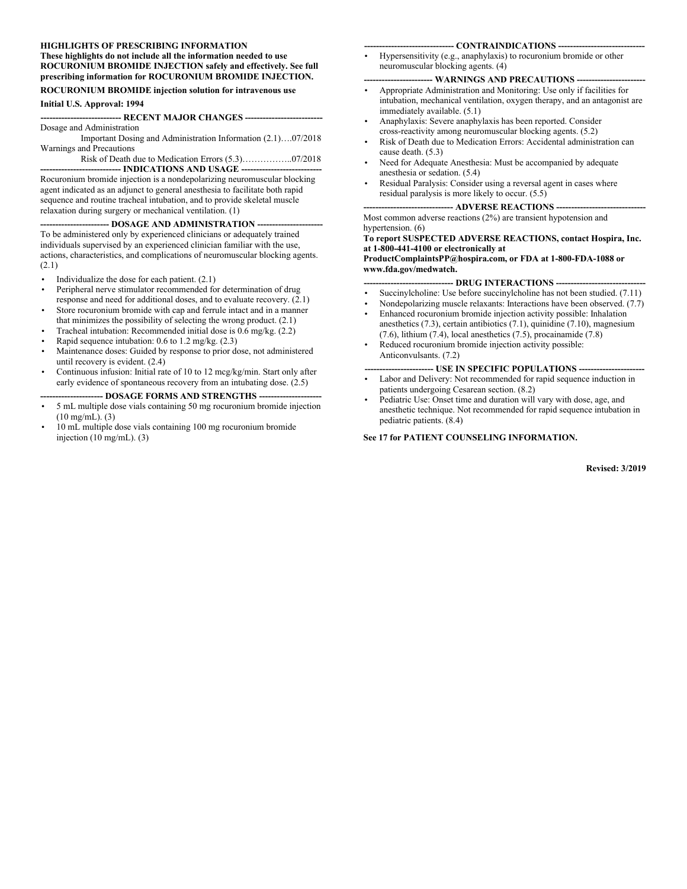#### **HIGHLIGHTS OF PRESCRIBING INFORMATION These highlights do not include all the information needed to use ROCURONIUM BROMIDE INJECTION safely and effectively. See full prescribing information for ROCURONIUM BROMIDE INJECTION.**

#### **ROCURONIUM BROMIDE injection solution for intravenous use**

#### **Initial U.S. Approval: 1994**

#### **--------------------------- RECENT MAJOR CHANGES --------------------------**

Dosage and Administration Important Dosing and Administration Information (2.1)….07/2018 Warnings and Precautions

Risk of Death due to Medication Errors (5.3)……………..07/2018

-- **INDICATIONS AND USAGE --**Rocuronium bromide injection is a nondepolarizing neuromuscular blocking agent indicated as an adjunct to general anesthesia to facilitate both rapid sequence and routine tracheal intubation, and to provide skeletal muscle relaxation during surgery or mechanical ventilation. (1)

#### **-- DOSAGE AND ADMINISTRATION**

To be administered only by experienced clinicians or adequately trained individuals supervised by an experienced clinician familiar with the use, actions, characteristics, and complications of neuromuscular blocking agents. (2.1)

- Individualize the dose for each patient.  $(2.1)$
- Peripheral nerve stimulator recommended for determination of drug response and need for additional doses, and to evaluate recovery. (2.1)
- Store rocuronium bromide with cap and ferrule intact and in a manner that minimizes the possibility of selecting the wrong product.  $(2.1)$
- Tracheal intubation: Recommended initial dose is 0.6 mg/kg. (2.2)
- Rapid sequence intubation: 0.6 to 1.2 mg/kg. (2.3)
- Maintenance doses: Guided by response to prior dose, not administered until recovery is evident. (2.4)
- Continuous infusion: Initial rate of 10 to 12 mcg/kg/min. Start only after early evidence of spontaneous recovery from an intubating dose. (2.5)

#### **--------------------- DOSAGE FORMS AND STRENGTHS ---------------------**

- 5 mL multiple dose vials containing 50 mg rocuronium bromide injection (10 mg/mL). (3)
- 10 mL multiple dose vials containing 100 mg rocuronium bromide injection (10 mg/mL). (3)

#### --- **CONTRAINDICATIONS** --

• Hypersensitivity (e.g., anaphylaxis) to rocuronium bromide or other neuromuscular blocking agents. (4)

#### $-$  **WARNINGS AND PRECAUTIONS --**

- Appropriate Administration and Monitoring: Use only if facilities for intubation, mechanical ventilation, oxygen therapy, and an antagonist are immediately available. (5.1)
- Anaphylaxis: Severe anaphylaxis has been reported. Consider cross-reactivity among neuromuscular blocking agents. (5.2)
- Risk of Death due to Medication Errors: Accidental administration can cause death. (5.3)
- Need for Adequate Anesthesia: Must be accompanied by adequate anesthesia or sedation. (5.4)
- Residual Paralysis: Consider using a reversal agent in cases where residual paralysis is more likely to occur. (5.5)

#### **------------------------------ ADVERSE REACTIONS ------------------------------**

Most common adverse reactions (2%) are transient hypotension and hypertension. (6)

**To report SUSPECTED ADVERSE REACTIONS, contact Hospira, Inc. at 1-800-441-4100 or electronically at ProductComplaintsPP@hospira.com, or FDA at 1-800-FDA-1088 or**

**www.fda.gov/medwatch.** 

- **-- DRUG INTERACTIONS**
- Succinylcholine: Use before succinylcholine has not been studied. (7.11)
- Nondepolarizing muscle relaxants: Interactions have been observed. (7.7)
- Enhanced rocuronium bromide injection activity possible: Inhalation anesthetics (7.3), certain antibiotics (7.1), quinidine (7.10), magnesium (7.6), lithium (7.4), local anesthetics (7.5), procainamide (7.8)
- Reduced rocuronium bromide injection activity possible: Anticonvulsants. (7.2)

# -- USE IN SPECIFIC POPULATIONS ---

- Labor and Delivery: Not recommended for rapid sequence induction in patients undergoing Cesarean section. (8.2)
- Pediatric Use: Onset time and duration will vary with dose, age, and anesthetic technique. Not recommended for rapid sequence intubation in pediatric patients. (8.4)

**See 17 for PATIENT COUNSELING INFORMATION.**

**Revised: 3/2019**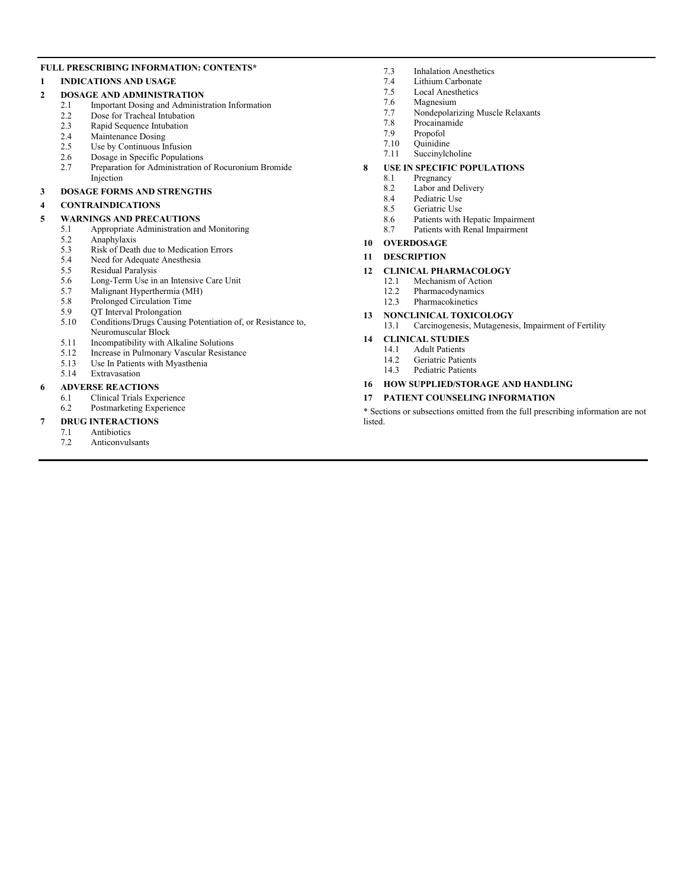#### **FULL PRESCRIBING INFORMATION: CONTENTS\***

#### **1 INDICATIONS AND USAGE**

#### **2 DOSAGE AND ADMINISTRATION**

- 2.1 Important Dosing and Administration Information
	- 2.2 Dose for Tracheal Intubation<br>2.3 Rapid Sequence Intubation
	- Rapid Sequence Intubation
	- 2.4 Maintenance Dosing
	- 2.5 Use by Continuous Infusion<br>2.6 Dosage in Specific Population
	- 2.6 Dosage in Specific Populations<br>2.7 Prenaration for Administration
	- Preparation for Administration of Rocuronium Bromide Injection

#### **3 DOSAGE FORMS AND STRENGTHS**

#### **4 CONTRAINDICATIONS**

#### **5 WARNINGS AND PRECAUTIONS**

- 5.1 Appropriate Administration and Monitoring
- 5.2 Anaphylaxis<br>5.3 Risk of Deat
- 5.3 Risk of Death due to Medication Errors<br>5.4 Need for Adequate Anesthesia
- 5.4 Need for Adequate Anesthesia<br>5.5 Residual Paralysis
- Residual Paralysis
- 5.6 Long-Term Use in an Intensive Care Unit<br>5.7 Malignant Hyperthermia (MH)
- 5.7 Malignant Hyperthermia (MH)
- 5.8 Prolonged Circulation Time
- 5.9 QT Interval Prolongation<br>5.10 Conditions/Drugs Causing
- Conditions/Drugs Causing Potentiation of, or Resistance to, Neuromuscular Block
- 5.11 Incompatibility with Alkaline Solutions
- 5.12 Increase in Pulmonary Vascular Resistance
- 5.13 Use In Patients with Myasthenia<br>5.14 Extravasation
- Extravasation

#### **6 ADVERSE REACTIONS**

6.1 Clinical Trials Experience 6.2 Postmarketing Experience

#### **7 DRUG INTERACTIONS**

- 7.1 Antibiotics
- 7.2 Anticonvulsants
- 7.3 Inhalation Anesthetics<br>7.4 I.ithium Carbonate
- 7.4 Lithium Carbonate<br>7.5 Local Anesthetics
- Local Anesthetics
- 7.6 Magnesium<br>7.7 Nondepolari
- 7.7 Nondepolarizing Muscle Relaxants
- 7.8 Procainamide
- 7.9 Propofol
- 7.10 Quinidine<br>7.11 Succinylel
- Succinylcholine

#### **8 USE IN SPECIFIC POPULATIONS**

- 8.1 Pregnancy 8.2 Labor and Delivery
- 8.4 Pediatric Use
- 
- 8.5 Geriatric Use<br>8.6 Patients with
- 8.6 Patients with Hepatic Impairment<br>8.7 Patients with Renal Impairment Patients with Renal Impairment

#### **10 OVERDOSAGE**

#### **11 DESCRIPTION**

- **12 CLINICAL PHARMACOLOGY**
	- - 12.1 Mechanism of Action<br>12.2 Pharmacodynamics Pharmacodynamics
	- 12.3 Pharmacokinetics
- **13 NONCLINICAL TOXICOLOGY**<br>13.1 **Carcinogenesis**, Mutagenesi

#### Carcinogenesis, Mutagenesis, Impairment of Fertility

#### **14 CLINICAL STUDIES**

- 14.1 Adult Patients
- 14.2 Geriatric Patients<br>14.3 Pediatric Patients Pediatric Patients
- **16 HOW SUPPLIED/STORAGE AND HANDLING**

#### **17 PATIENT COUNSELING INFORMATION**

\* Sections or subsections omitted from the full prescribing information are not listed.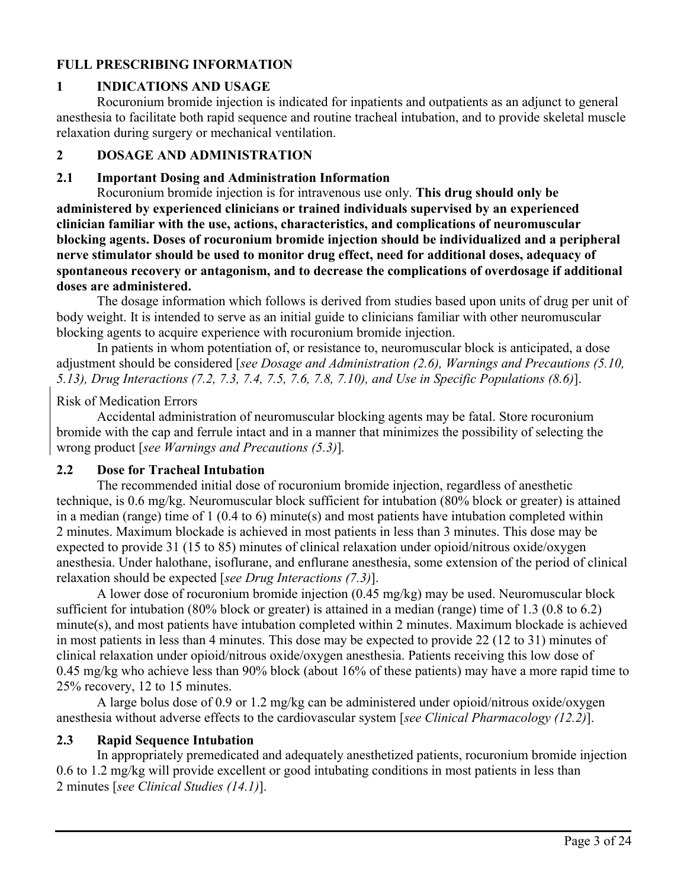## **FULL PRESCRIBING INFORMATION**

## **1 INDICATIONS AND USAGE**

Rocuronium bromide injection is indicated for inpatients and outpatients as an adjunct to general anesthesia to facilitate both rapid sequence and routine tracheal intubation, and to provide skeletal muscle relaxation during surgery or mechanical ventilation.

#### **2 DOSAGE AND ADMINISTRATION**

#### **2.1 Important Dosing and Administration Information**

Rocuronium bromide injection is for intravenous use only. **This drug should only be administered by experienced clinicians or trained individuals supervised by an experienced clinician familiar with the use, actions, characteristics, and complications of neuromuscular blocking agents. Doses of rocuronium bromide injection should be individualized and a peripheral nerve stimulator should be used to monitor drug effect, need for additional doses, adequacy of spontaneous recovery or antagonism, and to decrease the complications of overdosage if additional doses are administered.**

The dosage information which follows is derived from studies based upon units of drug per unit of body weight. It is intended to serve as an initial guide to clinicians familiar with other neuromuscular blocking agents to acquire experience with rocuronium bromide injection.

In patients in whom potentiation of, or resistance to, neuromuscular block is anticipated, a dose adjustment should be considered [*see Dosage and Administration (2.6), Warnings and Precautions (5.10, 5.13), Drug Interactions (7.2, 7.3, 7.4, 7.5, 7.6, 7.8, 7.10), and Use in Specific Populations (8.6)*].

#### Risk of Medication Errors

Accidental administration of neuromuscular blocking agents may be fatal. Store rocuronium bromide with the cap and ferrule intact and in a manner that minimizes the possibility of selecting the wrong product [*see Warnings and Precautions (5.3)*]*.*

## **2.2 Dose for Tracheal Intubation**

The recommended initial dose of rocuronium bromide injection, regardless of anesthetic technique, is 0.6 mg/kg. Neuromuscular block sufficient for intubation (80% block or greater) is attained in a median (range) time of 1 (0.4 to 6) minute(s) and most patients have intubation completed within 2 minutes. Maximum blockade is achieved in most patients in less than 3 minutes. This dose may be expected to provide 31 (15 to 85) minutes of clinical relaxation under opioid/nitrous oxide/oxygen anesthesia. Under halothane, isoflurane, and enflurane anesthesia, some extension of the period of clinical relaxation should be expected [*see Drug Interactions (7.3)*].

A lower dose of rocuronium bromide injection (0.45 mg/kg) may be used. Neuromuscular block sufficient for intubation (80% block or greater) is attained in a median (range) time of 1.3 (0.8 to 6.2) minute(s), and most patients have intubation completed within 2 minutes. Maximum blockade is achieved in most patients in less than 4 minutes. This dose may be expected to provide 22 (12 to 31) minutes of clinical relaxation under opioid/nitrous oxide/oxygen anesthesia. Patients receiving this low dose of 0.45 mg/kg who achieve less than 90% block (about 16% of these patients) may have a more rapid time to 25% recovery, 12 to 15 minutes.

A large bolus dose of 0.9 or 1.2 mg/kg can be administered under opioid/nitrous oxide/oxygen anesthesia without adverse effects to the cardiovascular system [*see Clinical Pharmacology (12.2)*].

## **2.3 Rapid Sequence Intubation**

In appropriately premedicated and adequately anesthetized patients, rocuronium bromide injection 0.6 to 1.2 mg/kg will provide excellent or good intubating conditions in most patients in less than 2 minutes [*see Clinical Studies (14.1)*].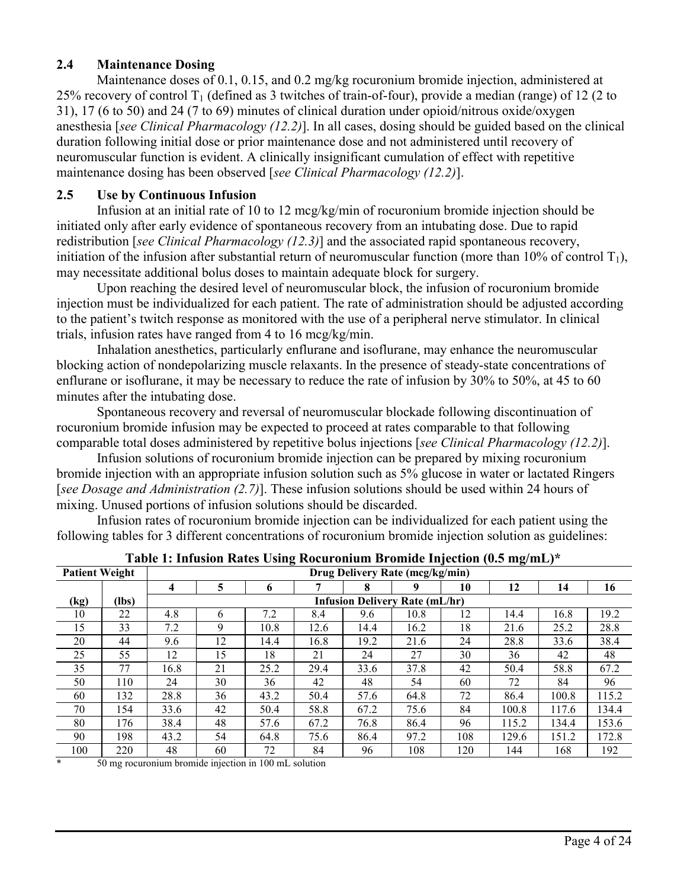## **2.4 Maintenance Dosing**

Maintenance doses of 0.1, 0.15, and 0.2 mg/kg rocuronium bromide injection, administered at 25% recovery of control  $T_1$  (defined as 3 twitches of train-of-four), provide a median (range) of 12 (2 to 31), 17 (6 to 50) and 24 (7 to 69) minutes of clinical duration under opioid/nitrous oxide/oxygen anesthesia [*see Clinical Pharmacology (12.2)*]. In all cases, dosing should be guided based on the clinical duration following initial dose or prior maintenance dose and not administered until recovery of neuromuscular function is evident. A clinically insignificant cumulation of effect with repetitive maintenance dosing has been observed [*see Clinical Pharmacology (12.2)*].

## **2.5 Use by Continuous Infusion**

Infusion at an initial rate of 10 to 12 mcg/kg/min of rocuronium bromide injection should be initiated only after early evidence of spontaneous recovery from an intubating dose. Due to rapid redistribution [*see Clinical Pharmacology (12.3)*] and the associated rapid spontaneous recovery, initiation of the infusion after substantial return of neuromuscular function (more than 10% of control  $T_1$ ), may necessitate additional bolus doses to maintain adequate block for surgery.

Upon reaching the desired level of neuromuscular block, the infusion of rocuronium bromide injection must be individualized for each patient. The rate of administration should be adjusted according to the patient's twitch response as monitored with the use of a peripheral nerve stimulator. In clinical trials, infusion rates have ranged from 4 to 16 mcg/kg/min.

Inhalation anesthetics, particularly enflurane and isoflurane, may enhance the neuromuscular blocking action of nondepolarizing muscle relaxants. In the presence of steady-state concentrations of enflurane or isoflurane, it may be necessary to reduce the rate of infusion by 30% to 50%, at 45 to 60 minutes after the intubating dose.

Spontaneous recovery and reversal of neuromuscular blockade following discontinuation of rocuronium bromide infusion may be expected to proceed at rates comparable to that following comparable total doses administered by repetitive bolus injections [*see Clinical Pharmacology (12.2)*].

Infusion solutions of rocuronium bromide injection can be prepared by mixing rocuronium bromide injection with an appropriate infusion solution such as 5% glucose in water or lactated Ringers [*see Dosage and Administration (2.7)*]. These infusion solutions should be used within 24 hours of mixing. Unused portions of infusion solutions should be discarded.

Infusion rates of rocuronium bromide injection can be individualized for each patient using the following tables for 3 different concentrations of rocuronium bromide injection solution as guidelines:

|      | -<br>-                                                   |      |    |      |      |                                       |      |     |       |       |       |
|------|----------------------------------------------------------|------|----|------|------|---------------------------------------|------|-----|-------|-------|-------|
|      | <b>Patient Weight</b><br>Drug Delivery Rate (mcg/kg/min) |      |    |      |      |                                       |      |     |       |       |       |
|      |                                                          | 4    | 5  | 6    |      | 8                                     |      | 10  | 12    | 14    | 16    |
| (kg) | (lbs)                                                    |      |    |      |      | <b>Infusion Delivery Rate (mL/hr)</b> |      |     |       |       |       |
| 10   | 22                                                       | 4.8  | 6  | 7.2  | 8.4  | 9.6                                   | 10.8 | 12  | 14.4  | 16.8  | 19.2  |
| 15   | 33                                                       | 7.2  | 9  | 10.8 | 12.6 | 14.4                                  | 16.2 | 18  | 21.6  | 25.2  | 28.8  |
| 20   | 44                                                       | 9.6  | 12 | 14.4 | 16.8 | 19.2                                  | 21.6 | 24  | 28.8  | 33.6  | 38.4  |
| 25   | 55                                                       | 12   | 15 | 18   | 21   | 24                                    | 27   | 30  | 36    | 42    | 48    |
| 35   | 77                                                       | 16.8 | 21 | 25.2 | 29.4 | 33.6                                  | 37.8 | 42  | 50.4  | 58.8  | 67.2  |
| 50   | 110                                                      | 24   | 30 | 36   | 42   | 48                                    | 54   | 60  | 72    | 84    | 96    |
| 60   | 132                                                      | 28.8 | 36 | 43.2 | 50.4 | 57.6                                  | 64.8 | 72  | 86.4  | 100.8 | 115.2 |
| 70   | 154                                                      | 33.6 | 42 | 50.4 | 58.8 | 67.2                                  | 75.6 | 84  | 100.8 | 117.6 | 134.4 |
| 80   | 176                                                      | 38.4 | 48 | 57.6 | 67.2 | 76.8                                  | 86.4 | 96  | 115.2 | 134.4 | 153.6 |
| 90   | 198                                                      | 43.2 | 54 | 64.8 | 75.6 | 86.4                                  | 97.2 | 108 | 129.6 | 151.2 | 172.8 |
| 100  | 220                                                      | 48   | 60 | 72   | 84   | 96                                    | 108  | 120 | 144   | 168   | 192   |

\* 50 mg rocuronium bromide injection in 100 mL solution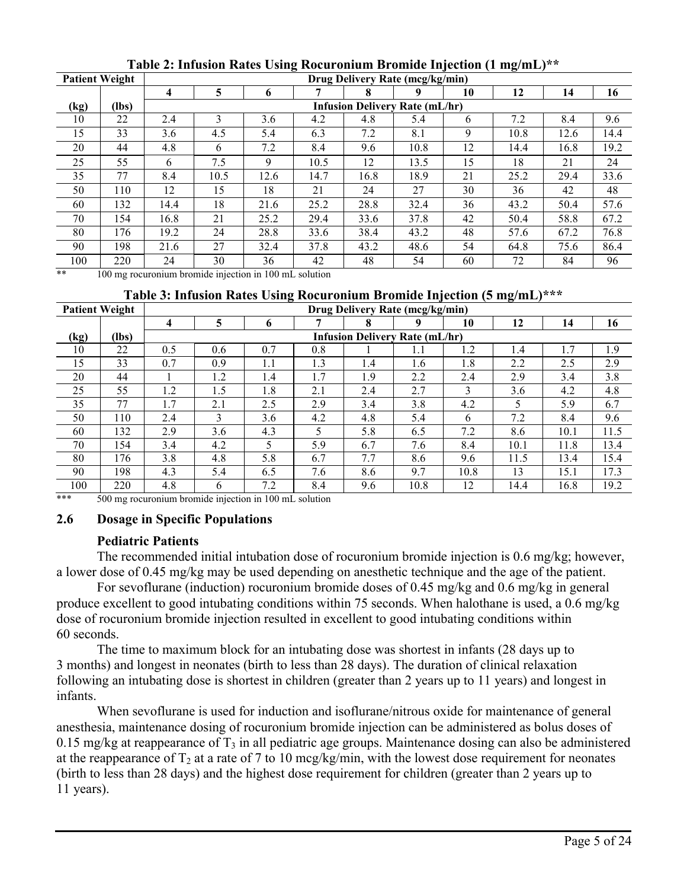| <b>Patient Weight</b> |       | Drug Delivery Rate (mcg/kg/min) |               |      |      |      |                                       |    |      |      |      |
|-----------------------|-------|---------------------------------|---------------|------|------|------|---------------------------------------|----|------|------|------|
|                       |       | 4                               |               | 6    |      | 8    |                                       | 10 | 12   | 14   | 16   |
| (kg)                  | (lbs) |                                 |               |      |      |      | <b>Infusion Delivery Rate (mL/hr)</b> |    |      |      |      |
| 10                    | 22    | 2.4                             | $\mathcal{L}$ | 3.6  | 4.2  | 4.8  | 5.4                                   | 6  | 7.2  | 8.4  | 9.6  |
| 15                    | 33    | 3.6                             | 4.5           | 5.4  | 6.3  | 7.2  | 8.1                                   | 9  | 10.8 | 12.6 | 14.4 |
| 20                    | 44    | 4.8                             | 6             | 7.2  | 8.4  | 9.6  | 10.8                                  | 12 | 14.4 | 16.8 | 19.2 |
| 25                    | 55    | 6                               | 7.5           | 9    | 10.5 | 12   | 13.5                                  | 15 | 18   | 21   | 24   |
| 35                    | 77    | 8.4                             | 10.5          | 12.6 | 14.7 | 16.8 | 18.9                                  | 21 | 25.2 | 29.4 | 33.6 |
| 50                    | 110   | 12                              | 15            | 18   | 21   | 24   | 27                                    | 30 | 36   | 42   | 48   |
| 60                    | 132   | 14.4                            | 18            | 21.6 | 25.2 | 28.8 | 32.4                                  | 36 | 43.2 | 50.4 | 57.6 |
| 70                    | 154   | 16.8                            | 21            | 25.2 | 29.4 | 33.6 | 37.8                                  | 42 | 50.4 | 58.8 | 67.2 |
| 80                    | 176   | 19.2                            | 24            | 28.8 | 33.6 | 38.4 | 43.2                                  | 48 | 57.6 | 67.2 | 76.8 |
| 90                    | 198   | 21.6                            | 27            | 32.4 | 37.8 | 43.2 | 48.6                                  | 54 | 64.8 | 75.6 | 86.4 |
| 100                   | 220   | 24                              | 30            | 36   | 42   | 48   | 54                                    | 60 | 72   | 84   | 96   |

**Table 2: Infusion Rates Using Rocuronium Bromide Injection (1 mg/mL)\*\***

\*\* 100 mg rocuronium bromide injection in 100 mL solution

#### **Table 3: Infusion Rates Using Rocuronium Bromide Injection (5 mg/mL)\*\*\***

| <b>Patient Weight</b> |       | Drug Delivery Rate (mcg/kg/min) |                |     |     |                                       |      |      |      |      |      |
|-----------------------|-------|---------------------------------|----------------|-----|-----|---------------------------------------|------|------|------|------|------|
|                       |       | 4                               | 5              | 6   |     | 8                                     | q    | 10   | 12   | 14   | 16   |
| (kg)                  | (lbs) |                                 |                |     |     | <b>Infusion Delivery Rate (mL/hr)</b> |      |      |      |      |      |
| 10                    | 22    | 0.5                             | 0.6            | 0.7 | 0.8 |                                       |      | 1.2  | 1.4  | 1.7  | 1.9  |
| 15                    | 33    | 0.7                             | 0.9            | 1.1 | 1.3 | 1.4                                   | 1.6  | 1.8  | 2.2  | 2.5  | 2.9  |
| 20                    | 44    |                                 | $\overline{2}$ | 1.4 | 1.7 | 1.9                                   | 2.2  | 2.4  | 2.9  | 3.4  | 3.8  |
| 25                    | 55    | 1.2                             | 1.5            | 1.8 | 2.1 | 2.4                                   | 2.7  | 3    | 3.6  | 4.2  | 4.8  |
| 35                    | 77    | 1.7                             | 2.1            | 2.5 | 2.9 | 3.4                                   | 3.8  | 4.2  | 5    | 5.9  | 6.7  |
| 50                    | 110   | 2.4                             | 3              | 3.6 | 4.2 | 4.8                                   | 5.4  | 6    | 7.2  | 8.4  | 9.6  |
| 60                    | 132   | 2.9                             | 3.6            | 4.3 | 5   | 5.8                                   | 6.5  | 7.2  | 8.6  | 10.1 | 11.5 |
| 70                    | 154   | 3.4                             | 4.2            |     | 5.9 | 6.7                                   | 7.6  | 8.4  | 10.1 | 11.8 | 13.4 |
| 80                    | 176   | 3.8                             | 4.8            | 5.8 | 6.7 | 7.7                                   | 8.6  | 9.6  | 11.5 | 13.4 | 15.4 |
| 90                    | 198   | 4.3                             | 5.4            | 6.5 | 7.6 | 8.6                                   | 9.7  | 10.8 | 13   | 15.1 | 17.3 |
| 100                   | 220   | 4.8                             | 6              | 7.2 | 8.4 | 9.6                                   | 10.8 | 12   | 14.4 | 16.8 | 19.2 |

\*\*\* 500 mg rocuronium bromide injection in 100 mL solution

## **2.6 Dosage in Specific Populations**

## **Pediatric Patients**

The recommended initial intubation dose of rocuronium bromide injection is 0.6 mg/kg; however, a lower dose of 0.45 mg/kg may be used depending on anesthetic technique and the age of the patient.

For sevoflurane (induction) rocuronium bromide doses of 0.45 mg/kg and 0.6 mg/kg in general produce excellent to good intubating conditions within 75 seconds. When halothane is used, a 0.6 mg/kg dose of rocuronium bromide injection resulted in excellent to good intubating conditions within 60 seconds.

The time to maximum block for an intubating dose was shortest in infants (28 days up to 3 months) and longest in neonates (birth to less than 28 days). The duration of clinical relaxation following an intubating dose is shortest in children (greater than 2 years up to 11 years) and longest in infants.

When sevoflurane is used for induction and isoflurane/nitrous oxide for maintenance of general anesthesia, maintenance dosing of rocuronium bromide injection can be administered as bolus doses of 0.15 mg/kg at reappearance of  $T_3$  in all pediatric age groups. Maintenance dosing can also be administered at the reappearance of  $T_2$  at a rate of 7 to 10 mcg/kg/min, with the lowest dose requirement for neonates (birth to less than 28 days) and the highest dose requirement for children (greater than 2 years up to 11 years).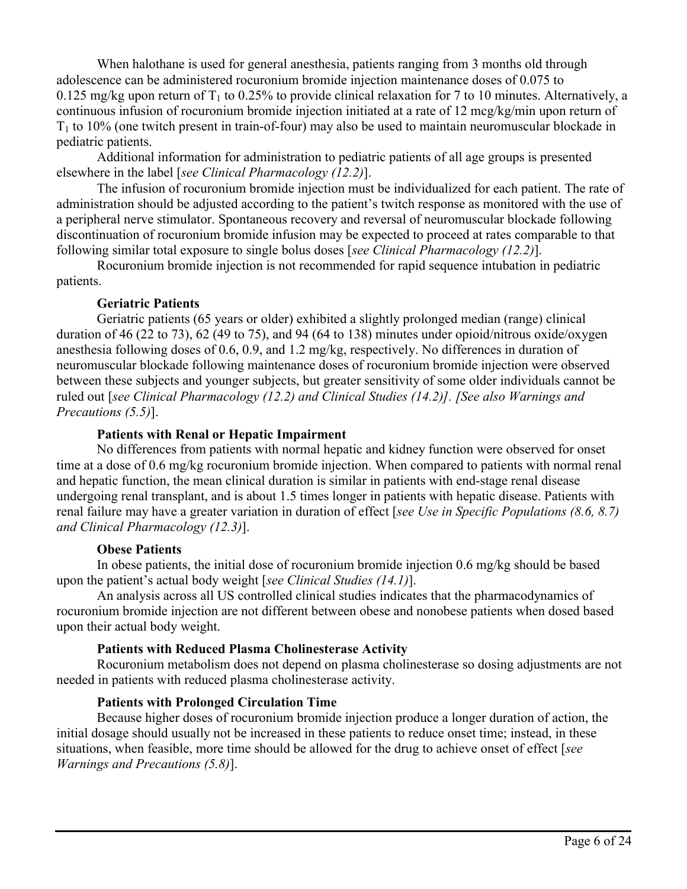When halothane is used for general anesthesia, patients ranging from 3 months old through adolescence can be administered rocuronium bromide injection maintenance doses of 0.075 to 0.125 mg/kg upon return of  $T_1$  to 0.25% to provide clinical relaxation for 7 to 10 minutes. Alternatively, a continuous infusion of rocuronium bromide injection initiated at a rate of 12 mcg/kg/min upon return of  $T_1$  to 10% (one twitch present in train-of-four) may also be used to maintain neuromuscular blockade in pediatric patients.

Additional information for administration to pediatric patients of all age groups is presented elsewhere in the label [*see Clinical Pharmacology (12.2)*].

The infusion of rocuronium bromide injection must be individualized for each patient. The rate of administration should be adjusted according to the patient's twitch response as monitored with the use of a peripheral nerve stimulator. Spontaneous recovery and reversal of neuromuscular blockade following discontinuation of rocuronium bromide infusion may be expected to proceed at rates comparable to that following similar total exposure to single bolus doses [*see Clinical Pharmacology (12.2)*].

Rocuronium bromide injection is not recommended for rapid sequence intubation in pediatric patients.

#### **Geriatric Patients**

Geriatric patients (65 years or older) exhibited a slightly prolonged median (range) clinical duration of 46 (22 to 73), 62 (49 to 75), and 94 (64 to 138) minutes under opioid/nitrous oxide/oxygen anesthesia following doses of 0.6, 0.9, and 1.2 mg/kg, respectively. No differences in duration of neuromuscular blockade following maintenance doses of rocuronium bromide injection were observed between these subjects and younger subjects, but greater sensitivity of some older individuals cannot be ruled out [*see Clinical Pharmacology (12.2) and Clinical Studies (14.2)]. [See also Warnings and Precautions (5.5)*].

#### **Patients with Renal or Hepatic Impairment**

No differences from patients with normal hepatic and kidney function were observed for onset time at a dose of 0.6 mg/kg rocuronium bromide injection. When compared to patients with normal renal and hepatic function, the mean clinical duration is similar in patients with end-stage renal disease undergoing renal transplant, and is about 1.5 times longer in patients with hepatic disease. Patients with renal failure may have a greater variation in duration of effect [*see Use in Specific Populations (8.6, 8.7) and Clinical Pharmacology (12.3)*].

#### **Obese Patients**

In obese patients, the initial dose of rocuronium bromide injection 0.6 mg/kg should be based upon the patient's actual body weight [*see Clinical Studies (14.1)*].

An analysis across all US controlled clinical studies indicates that the pharmacodynamics of rocuronium bromide injection are not different between obese and nonobese patients when dosed based upon their actual body weight.

#### **Patients with Reduced Plasma Cholinesterase Activity**

Rocuronium metabolism does not depend on plasma cholinesterase so dosing adjustments are not needed in patients with reduced plasma cholinesterase activity.

#### **Patients with Prolonged Circulation Time**

Because higher doses of rocuronium bromide injection produce a longer duration of action, the initial dosage should usually not be increased in these patients to reduce onset time; instead, in these situations, when feasible, more time should be allowed for the drug to achieve onset of effect [*see Warnings and Precautions (5.8)*].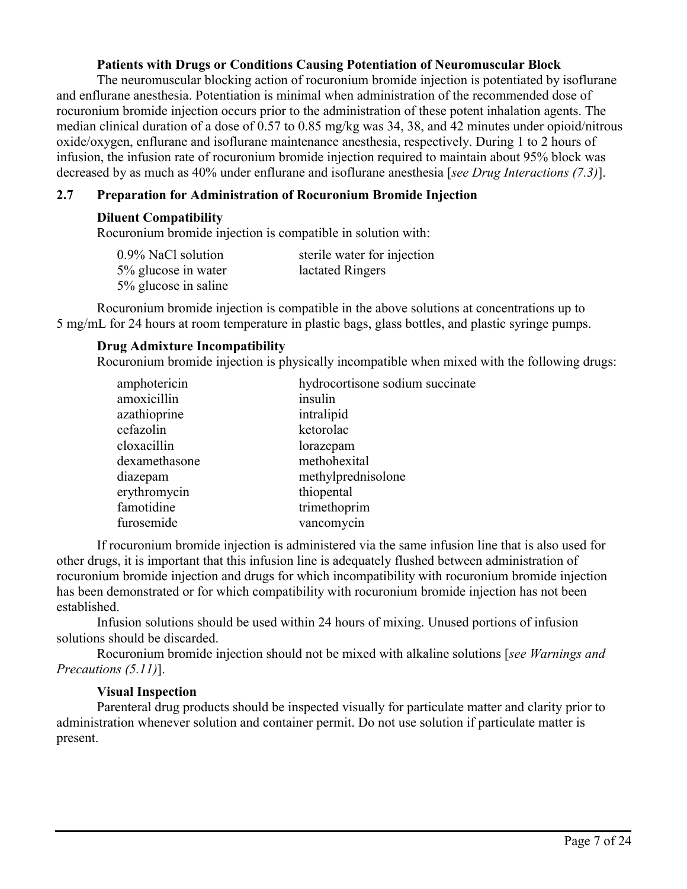## **Patients with Drugs or Conditions Causing Potentiation of Neuromuscular Block**

The neuromuscular blocking action of rocuronium bromide injection is potentiated by isoflurane and enflurane anesthesia. Potentiation is minimal when administration of the recommended dose of rocuronium bromide injection occurs prior to the administration of these potent inhalation agents. The median clinical duration of a dose of 0.57 to 0.85 mg/kg was 34, 38, and 42 minutes under opioid/nitrous oxide/oxygen, enflurane and isoflurane maintenance anesthesia, respectively. During 1 to 2 hours of infusion, the infusion rate of rocuronium bromide injection required to maintain about 95% block was decreased by as much as 40% under enflurane and isoflurane anesthesia [*see Drug Interactions (7.3)*].

## **2.7 Preparation for Administration of Rocuronium Bromide Injection**

#### **Diluent Compatibility**

Rocuronium bromide injection is compatible in solution with:

| 0.9% NaCl solution   | sterile water for injection |
|----------------------|-----------------------------|
| 5% glucose in water  | lactated Ringers            |
| 5% glucose in saline |                             |

Rocuronium bromide injection is compatible in the above solutions at concentrations up to 5 mg/mL for 24 hours at room temperature in plastic bags, glass bottles, and plastic syringe pumps.

## **Drug Admixture Incompatibility**

Rocuronium bromide injection is physically incompatible when mixed with the following drugs:

| amphotericin  | hydrocortisone sodium succinate |
|---------------|---------------------------------|
| amoxicillin   | insulin                         |
| azathioprine  | intralipid                      |
| cefazolin     | ketorolac                       |
| cloxacillin   | lorazepam                       |
| dexamethasone | methohexital                    |
| diazepam      | methylprednisolone              |
| erythromycin  | thiopental                      |
| famotidine    | trimethoprim                    |
| furosemide    | vancomycin                      |

If rocuronium bromide injection is administered via the same infusion line that is also used for other drugs, it is important that this infusion line is adequately flushed between administration of rocuronium bromide injection and drugs for which incompatibility with rocuronium bromide injection has been demonstrated or for which compatibility with rocuronium bromide injection has not been established.

Infusion solutions should be used within 24 hours of mixing. Unused portions of infusion solutions should be discarded.

Rocuronium bromide injection should not be mixed with alkaline solutions [*see Warnings and Precautions (5.11)*].

#### **Visual Inspection**

Parenteral drug products should be inspected visually for particulate matter and clarity prior to administration whenever solution and container permit. Do not use solution if particulate matter is present.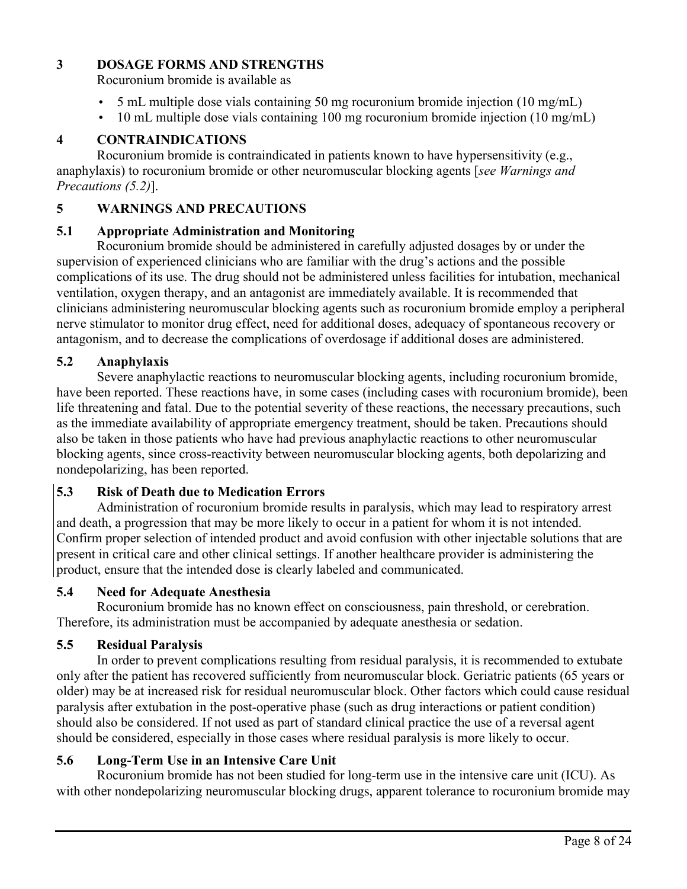## **3 DOSAGE FORMS AND STRENGTHS**

Rocuronium bromide is available as

- 5 mL multiple dose vials containing 50 mg rocuronium bromide injection (10 mg/mL)
- 10 mL multiple dose vials containing 100 mg rocuronium bromide injection (10 mg/mL)

# **4 CONTRAINDICATIONS**

Rocuronium bromide is contraindicated in patients known to have hypersensitivity (e.g., anaphylaxis) to rocuronium bromide or other neuromuscular blocking agents [*see Warnings and Precautions (5.2)*].

## **5 WARNINGS AND PRECAUTIONS**

## **5.1 Appropriate Administration and Monitoring**

Rocuronium bromide should be administered in carefully adjusted dosages by or under the supervision of experienced clinicians who are familiar with the drug's actions and the possible complications of its use. The drug should not be administered unless facilities for intubation, mechanical ventilation, oxygen therapy, and an antagonist are immediately available. It is recommended that clinicians administering neuromuscular blocking agents such as rocuronium bromide employ a peripheral nerve stimulator to monitor drug effect, need for additional doses, adequacy of spontaneous recovery or antagonism, and to decrease the complications of overdosage if additional doses are administered.

## **5.2 Anaphylaxis**

Severe anaphylactic reactions to neuromuscular blocking agents, including rocuronium bromide, have been reported. These reactions have, in some cases (including cases with rocuronium bromide), been life threatening and fatal. Due to the potential severity of these reactions, the necessary precautions, such as the immediate availability of appropriate emergency treatment, should be taken. Precautions should also be taken in those patients who have had previous anaphylactic reactions to other neuromuscular blocking agents, since cross-reactivity between neuromuscular blocking agents, both depolarizing and nondepolarizing, has been reported.

## **5.3 Risk of Death due to Medication Errors**

Administration of rocuronium bromide results in paralysis, which may lead to respiratory arrest and death, a progression that may be more likely to occur in a patient for whom it is not intended. Confirm proper selection of intended product and avoid confusion with other injectable solutions that are present in critical care and other clinical settings. If another healthcare provider is administering the product, ensure that the intended dose is clearly labeled and communicated.

## **5.4 Need for Adequate Anesthesia**

Rocuronium bromide has no known effect on consciousness, pain threshold, or cerebration. Therefore, its administration must be accompanied by adequate anesthesia or sedation.

## **5.5 Residual Paralysis**

In order to prevent complications resulting from residual paralysis, it is recommended to extubate only after the patient has recovered sufficiently from neuromuscular block. Geriatric patients (65 years or older) may be at increased risk for residual neuromuscular block. Other factors which could cause residual paralysis after extubation in the post-operative phase (such as drug interactions or patient condition) should also be considered. If not used as part of standard clinical practice the use of a reversal agent should be considered, especially in those cases where residual paralysis is more likely to occur.

# **5.6 Long-Term Use in an Intensive Care Unit**

Rocuronium bromide has not been studied for long-term use in the intensive care unit (ICU). As with other nondepolarizing neuromuscular blocking drugs, apparent tolerance to rocuronium bromide may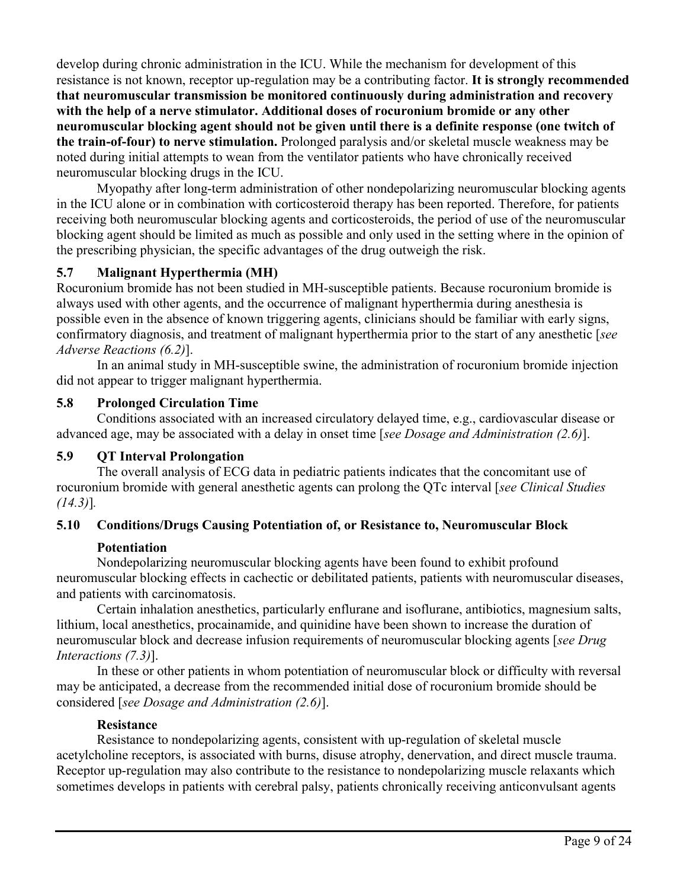develop during chronic administration in the ICU. While the mechanism for development of this resistance is not known, receptor up-regulation may be a contributing factor. **It is strongly recommended that neuromuscular transmission be monitored continuously during administration and recovery with the help of a nerve stimulator. Additional doses of rocuronium bromide or any other neuromuscular blocking agent should not be given until there is a definite response (one twitch of the train-of-four) to nerve stimulation.** Prolonged paralysis and/or skeletal muscle weakness may be noted during initial attempts to wean from the ventilator patients who have chronically received neuromuscular blocking drugs in the ICU.

Myopathy after long-term administration of other nondepolarizing neuromuscular blocking agents in the ICU alone or in combination with corticosteroid therapy has been reported. Therefore, for patients receiving both neuromuscular blocking agents and corticosteroids, the period of use of the neuromuscular blocking agent should be limited as much as possible and only used in the setting where in the opinion of the prescribing physician, the specific advantages of the drug outweigh the risk.

# **5.7 Malignant Hyperthermia (MH)**

Rocuronium bromide has not been studied in MH-susceptible patients. Because rocuronium bromide is always used with other agents, and the occurrence of malignant hyperthermia during anesthesia is possible even in the absence of known triggering agents, clinicians should be familiar with early signs, confirmatory diagnosis, and treatment of malignant hyperthermia prior to the start of any anesthetic [*see Adverse Reactions (6.2)*].

In an animal study in MH-susceptible swine, the administration of rocuronium bromide injection did not appear to trigger malignant hyperthermia.

# **5.8 Prolonged Circulation Time**

Conditions associated with an increased circulatory delayed time, e.g., cardiovascular disease or advanced age, may be associated with a delay in onset time [*see Dosage and Administration (2.6)*].

# **5.9 QT Interval Prolongation**

The overall analysis of ECG data in pediatric patients indicates that the concomitant use of rocuronium bromide with general anesthetic agents can prolong the QTc interval [*see Clinical Studies (14.3)*]*.* 

# **5.10 Conditions/Drugs Causing Potentiation of, or Resistance to, Neuromuscular Block**

# **Potentiation**

Nondepolarizing neuromuscular blocking agents have been found to exhibit profound neuromuscular blocking effects in cachectic or debilitated patients, patients with neuromuscular diseases, and patients with carcinomatosis.

Certain inhalation anesthetics, particularly enflurane and isoflurane, antibiotics, magnesium salts, lithium, local anesthetics, procainamide, and quinidine have been shown to increase the duration of neuromuscular block and decrease infusion requirements of neuromuscular blocking agents [*see Drug Interactions (7.3)*].

In these or other patients in whom potentiation of neuromuscular block or difficulty with reversal may be anticipated, a decrease from the recommended initial dose of rocuronium bromide should be considered [*see Dosage and Administration (2.6)*].

# **Resistance**

Resistance to nondepolarizing agents, consistent with up-regulation of skeletal muscle acetylcholine receptors, is associated with burns, disuse atrophy, denervation, and direct muscle trauma. Receptor up-regulation may also contribute to the resistance to nondepolarizing muscle relaxants which sometimes develops in patients with cerebral palsy, patients chronically receiving anticonvulsant agents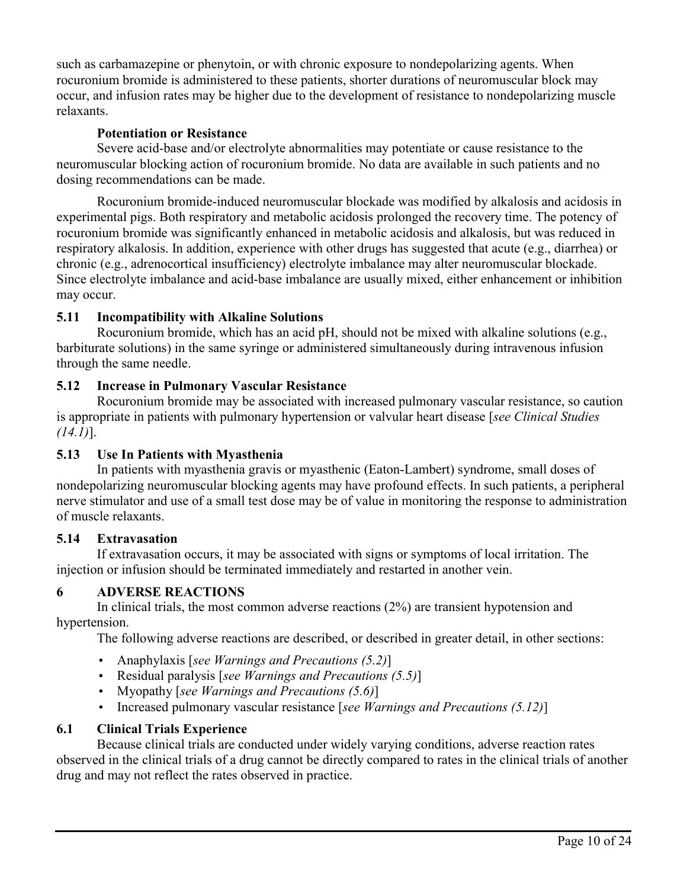such as carbamazepine or phenytoin, or with chronic exposure to nondepolarizing agents. When rocuronium bromide is administered to these patients, shorter durations of neuromuscular block may occur, and infusion rates may be higher due to the development of resistance to nondepolarizing muscle relaxants.

## **Potentiation or Resistance**

Severe acid-base and/or electrolyte abnormalities may potentiate or cause resistance to the neuromuscular blocking action of rocuronium bromide. No data are available in such patients and no dosing recommendations can be made.

Rocuronium bromide-induced neuromuscular blockade was modified by alkalosis and acidosis in experimental pigs. Both respiratory and metabolic acidosis prolonged the recovery time. The potency of rocuronium bromide was significantly enhanced in metabolic acidosis and alkalosis, but was reduced in respiratory alkalosis. In addition, experience with other drugs has suggested that acute (e.g., diarrhea) or chronic (e.g., adrenocortical insufficiency) electrolyte imbalance may alter neuromuscular blockade. Since electrolyte imbalance and acid-base imbalance are usually mixed, either enhancement or inhibition may occur.

# **5.11 Incompatibility with Alkaline Solutions**

Rocuronium bromide, which has an acid pH, should not be mixed with alkaline solutions (e.g., barbiturate solutions) in the same syringe or administered simultaneously during intravenous infusion through the same needle.

# **5.12 Increase in Pulmonary Vascular Resistance**

Rocuronium bromide may be associated with increased pulmonary vascular resistance, so caution is appropriate in patients with pulmonary hypertension or valvular heart disease [*see Clinical Studies (14.1)*].

# **5.13 Use In Patients with Myasthenia**

In patients with myasthenia gravis or myasthenic (Eaton-Lambert) syndrome, small doses of nondepolarizing neuromuscular blocking agents may have profound effects. In such patients, a peripheral nerve stimulator and use of a small test dose may be of value in monitoring the response to administration of muscle relaxants.

# **5.14 Extravasation**

If extravasation occurs, it may be associated with signs or symptoms of local irritation. The injection or infusion should be terminated immediately and restarted in another vein.

# **6 ADVERSE REACTIONS**

In clinical trials, the most common adverse reactions (2%) are transient hypotension and hypertension.

The following adverse reactions are described, or described in greater detail, in other sections:

- Anaphylaxis [*see Warnings and Precautions (5.2)*]
- Residual paralysis [*see Warnings and Precautions (5.5)*]
- Myopathy [*see Warnings and Precautions (5.6)*]
- Increased pulmonary vascular resistance [*see Warnings and Precautions (5.12)*]

# **6.1 Clinical Trials Experience**

Because clinical trials are conducted under widely varying conditions, adverse reaction rates observed in the clinical trials of a drug cannot be directly compared to rates in the clinical trials of another drug and may not reflect the rates observed in practice.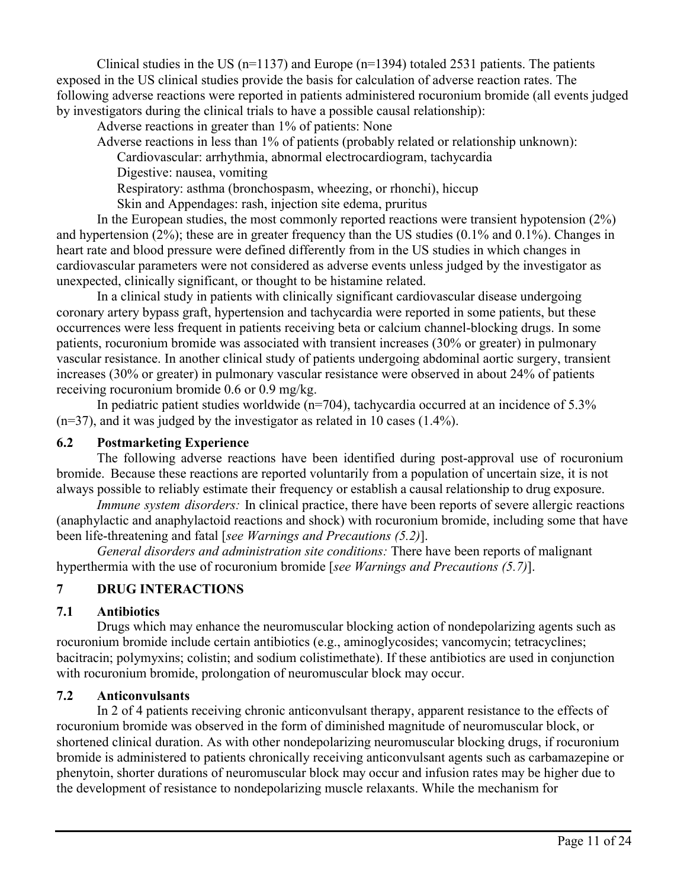Clinical studies in the US ( $n=1137$ ) and Europe ( $n=1394$ ) totaled 2531 patients. The patients exposed in the US clinical studies provide the basis for calculation of adverse reaction rates. The following adverse reactions were reported in patients administered rocuronium bromide (all events judged by investigators during the clinical trials to have a possible causal relationship):

Adverse reactions in greater than 1% of patients: None

Adverse reactions in less than 1% of patients (probably related or relationship unknown):

Cardiovascular: arrhythmia, abnormal electrocardiogram, tachycardia

Digestive: nausea, vomiting

Respiratory: asthma (bronchospasm, wheezing, or rhonchi), hiccup

Skin and Appendages: rash, injection site edema, pruritus

In the European studies, the most commonly reported reactions were transient hypotension  $(2\%)$ and hypertension (2%); these are in greater frequency than the US studies (0.1% and 0.1%). Changes in heart rate and blood pressure were defined differently from in the US studies in which changes in cardiovascular parameters were not considered as adverse events unless judged by the investigator as unexpected, clinically significant, or thought to be histamine related.

In a clinical study in patients with clinically significant cardiovascular disease undergoing coronary artery bypass graft, hypertension and tachycardia were reported in some patients, but these occurrences were less frequent in patients receiving beta or calcium channel-blocking drugs. In some patients, rocuronium bromide was associated with transient increases (30% or greater) in pulmonary vascular resistance. In another clinical study of patients undergoing abdominal aortic surgery, transient increases (30% or greater) in pulmonary vascular resistance were observed in about 24% of patients receiving rocuronium bromide 0.6 or 0.9 mg/kg.

In pediatric patient studies worldwide ( $n=704$ ), tachycardia occurred at an incidence of 5.3% (n=37), and it was judged by the investigator as related in 10 cases (1.4%).

## **6.2 Postmarketing Experience**

The following adverse reactions have been identified during post-approval use of rocuronium bromide. Because these reactions are reported voluntarily from a population of uncertain size, it is not always possible to reliably estimate their frequency or establish a causal relationship to drug exposure.

*Immune system disorders:* In clinical practice, there have been reports of severe allergic reactions (anaphylactic and anaphylactoid reactions and shock) with rocuronium bromide, including some that have been life-threatening and fatal [*see Warnings and Precautions (5.2)*].

*General disorders and administration site conditions:* There have been reports of malignant hyperthermia with the use of rocuronium bromide [*see Warnings and Precautions (5.7)*].

# **7 DRUG INTERACTIONS**

# **7.1 Antibiotics**

Drugs which may enhance the neuromuscular blocking action of nondepolarizing agents such as rocuronium bromide include certain antibiotics (e.g., aminoglycosides; vancomycin; tetracyclines; bacitracin; polymyxins; colistin; and sodium colistimethate). If these antibiotics are used in conjunction with rocuronium bromide, prolongation of neuromuscular block may occur.

# **7.2 Anticonvulsants**

In 2 of 4 patients receiving chronic anticonvulsant therapy, apparent resistance to the effects of rocuronium bromide was observed in the form of diminished magnitude of neuromuscular block, or shortened clinical duration. As with other nondepolarizing neuromuscular blocking drugs, if rocuronium bromide is administered to patients chronically receiving anticonvulsant agents such as carbamazepine or phenytoin, shorter durations of neuromuscular block may occur and infusion rates may be higher due to the development of resistance to nondepolarizing muscle relaxants. While the mechanism for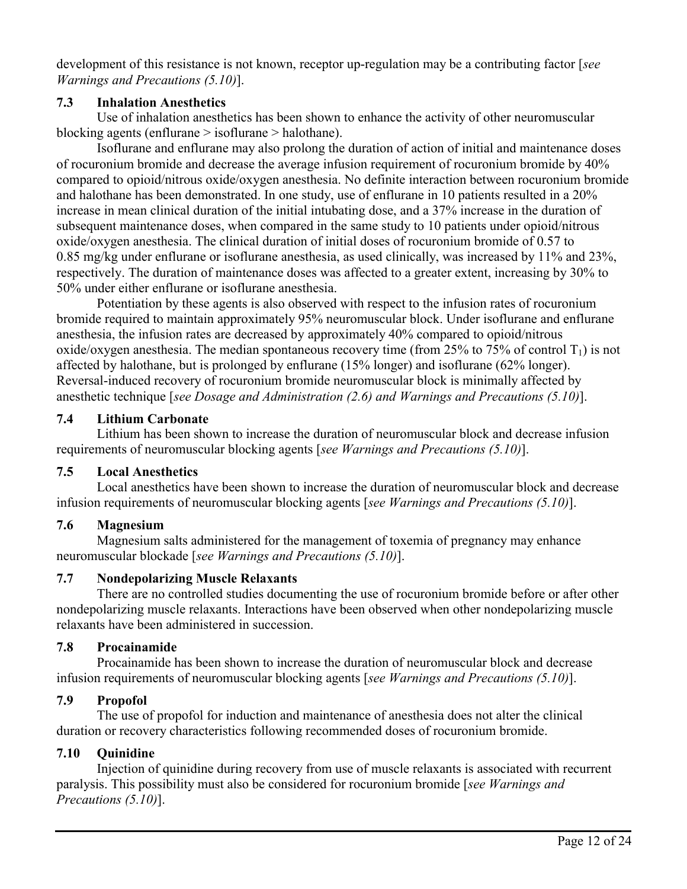development of this resistance is not known, receptor up-regulation may be a contributing factor [*see Warnings and Precautions (5.10)*].

## **7.3 Inhalation Anesthetics**

Use of inhalation anesthetics has been shown to enhance the activity of other neuromuscular blocking agents (enflurane > isoflurane > halothane).

Isoflurane and enflurane may also prolong the duration of action of initial and maintenance doses of rocuronium bromide and decrease the average infusion requirement of rocuronium bromide by 40% compared to opioid/nitrous oxide/oxygen anesthesia. No definite interaction between rocuronium bromide and halothane has been demonstrated. In one study, use of enflurane in 10 patients resulted in a 20% increase in mean clinical duration of the initial intubating dose, and a 37% increase in the duration of subsequent maintenance doses, when compared in the same study to 10 patients under opioid/nitrous oxide/oxygen anesthesia. The clinical duration of initial doses of rocuronium bromide of 0.57 to 0.85 mg/kg under enflurane or isoflurane anesthesia, as used clinically, was increased by 11% and 23%, respectively. The duration of maintenance doses was affected to a greater extent, increasing by 30% to 50% under either enflurane or isoflurane anesthesia.

Potentiation by these agents is also observed with respect to the infusion rates of rocuronium bromide required to maintain approximately 95% neuromuscular block. Under isoflurane and enflurane anesthesia, the infusion rates are decreased by approximately 40% compared to opioid/nitrous oxide/oxygen anesthesia. The median spontaneous recovery time (from 25% to 75% of control  $T_1$ ) is not affected by halothane, but is prolonged by enflurane (15% longer) and isoflurane (62% longer). Reversal-induced recovery of rocuronium bromide neuromuscular block is minimally affected by anesthetic technique [*see Dosage and Administration (2.6) and Warnings and Precautions (5.10)*].

# **7.4 Lithium Carbonate**

Lithium has been shown to increase the duration of neuromuscular block and decrease infusion requirements of neuromuscular blocking agents [*see Warnings and Precautions (5.10)*].

# **7.5 Local Anesthetics**

Local anesthetics have been shown to increase the duration of neuromuscular block and decrease infusion requirements of neuromuscular blocking agents [*see Warnings and Precautions (5.10)*].

# **7.6 Magnesium**

Magnesium salts administered for the management of toxemia of pregnancy may enhance neuromuscular blockade [*see Warnings and Precautions (5.10)*].

# **7.7 Nondepolarizing Muscle Relaxants**

There are no controlled studies documenting the use of rocuronium bromide before or after other nondepolarizing muscle relaxants. Interactions have been observed when other nondepolarizing muscle relaxants have been administered in succession.

# **7.8 Procainamide**

Procainamide has been shown to increase the duration of neuromuscular block and decrease infusion requirements of neuromuscular blocking agents [*see Warnings and Precautions (5.10)*].

# **7.9 Propofol**

The use of propofol for induction and maintenance of anesthesia does not alter the clinical duration or recovery characteristics following recommended doses of rocuronium bromide.

# **7.10 Quinidine**

Injection of quinidine during recovery from use of muscle relaxants is associated with recurrent paralysis. This possibility must also be considered for rocuronium bromide [*see Warnings and Precautions (5.10)*].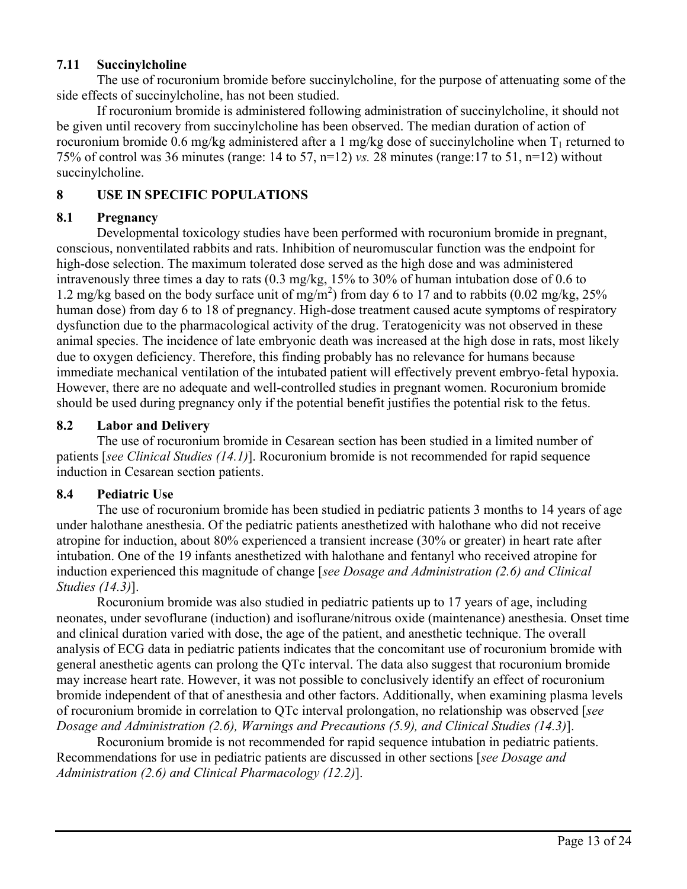## **7.11 Succinylcholine**

The use of rocuronium bromide before succinylcholine, for the purpose of attenuating some of the side effects of succinylcholine, has not been studied.

If rocuronium bromide is administered following administration of succinylcholine, it should not be given until recovery from succinylcholine has been observed. The median duration of action of rocuronium bromide 0.6 mg/kg administered after a 1 mg/kg dose of succinylcholine when  $T_1$  returned to 75% of control was 36 minutes (range: 14 to 57, n=12) *vs.* 28 minutes (range:17 to 51, n=12) without succinylcholine.

## **8 USE IN SPECIFIC POPULATIONS**

## **8.1 Pregnancy**

Developmental toxicology studies have been performed with rocuronium bromide in pregnant, conscious, nonventilated rabbits and rats. Inhibition of neuromuscular function was the endpoint for high-dose selection. The maximum tolerated dose served as the high dose and was administered intravenously three times a day to rats (0.3 mg/kg, 15% to 30% of human intubation dose of 0.6 to 1.2 mg/kg based on the body surface unit of mg/m<sup>2</sup> ) from day 6 to 17 and to rabbits (0.02 mg/kg, 25% human dose) from day 6 to 18 of pregnancy. High-dose treatment caused acute symptoms of respiratory dysfunction due to the pharmacological activity of the drug. Teratogenicity was not observed in these animal species. The incidence of late embryonic death was increased at the high dose in rats, most likely due to oxygen deficiency. Therefore, this finding probably has no relevance for humans because immediate mechanical ventilation of the intubated patient will effectively prevent embryo-fetal hypoxia. However, there are no adequate and well-controlled studies in pregnant women. Rocuronium bromide should be used during pregnancy only if the potential benefit justifies the potential risk to the fetus.

## **8.2 Labor and Delivery**

The use of rocuronium bromide in Cesarean section has been studied in a limited number of patients [*see Clinical Studies (14.1)*]. Rocuronium bromide is not recommended for rapid sequence induction in Cesarean section patients.

## **8.4 Pediatric Use**

The use of rocuronium bromide has been studied in pediatric patients 3 months to 14 years of age under halothane anesthesia. Of the pediatric patients anesthetized with halothane who did not receive atropine for induction, about 80% experienced a transient increase (30% or greater) in heart rate after intubation. One of the 19 infants anesthetized with halothane and fentanyl who received atropine for induction experienced this magnitude of change [*see Dosage and Administration (2.6) and Clinical Studies (14.3)*].

Rocuronium bromide was also studied in pediatric patients up to 17 years of age, including neonates, under sevoflurane (induction) and isoflurane/nitrous oxide (maintenance) anesthesia. Onset time and clinical duration varied with dose, the age of the patient, and anesthetic technique. The overall analysis of ECG data in pediatric patients indicates that the concomitant use of rocuronium bromide with general anesthetic agents can prolong the QTc interval. The data also suggest that rocuronium bromide may increase heart rate. However, it was not possible to conclusively identify an effect of rocuronium bromide independent of that of anesthesia and other factors. Additionally, when examining plasma levels of rocuronium bromide in correlation to QTc interval prolongation, no relationship was observed [*see Dosage and Administration (2.6), Warnings and Precautions (5.9), and Clinical Studies (14.3)*].

Rocuronium bromide is not recommended for rapid sequence intubation in pediatric patients. Recommendations for use in pediatric patients are discussed in other sections [*see Dosage and Administration (2.6) and Clinical Pharmacology (12.2)*].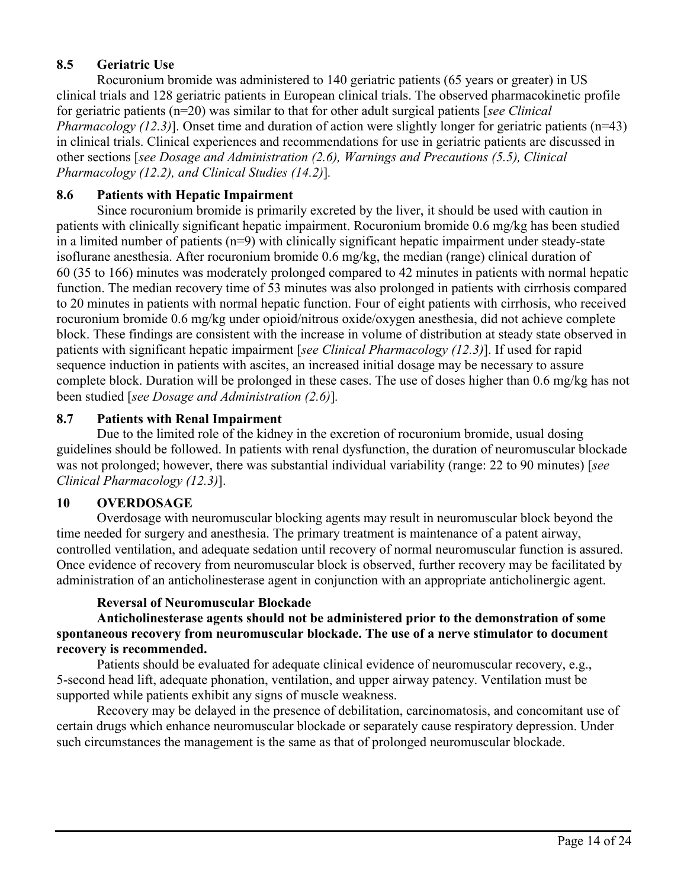# **8.5 Geriatric Use**

Rocuronium bromide was administered to 140 geriatric patients (65 years or greater) in US clinical trials and 128 geriatric patients in European clinical trials. The observed pharmacokinetic profile for geriatric patients (n=20) was similar to that for other adult surgical patients [*see Clinical Pharmacology (12.3)*]. Onset time and duration of action were slightly longer for geriatric patients (n=43) in clinical trials. Clinical experiences and recommendations for use in geriatric patients are discussed in other sections [*see Dosage and Administration (2.6), Warnings and Precautions (5.5), Clinical Pharmacology (12.2), and Clinical Studies (14.2)*]*.* 

# **8.6 Patients with Hepatic Impairment**

Since rocuronium bromide is primarily excreted by the liver, it should be used with caution in patients with clinically significant hepatic impairment. Rocuronium bromide 0.6 mg/kg has been studied in a limited number of patients (n=9) with clinically significant hepatic impairment under steady-state isoflurane anesthesia. After rocuronium bromide 0.6 mg/kg, the median (range) clinical duration of 60 (35 to 166) minutes was moderately prolonged compared to 42 minutes in patients with normal hepatic function. The median recovery time of 53 minutes was also prolonged in patients with cirrhosis compared to 20 minutes in patients with normal hepatic function. Four of eight patients with cirrhosis, who received rocuronium bromide 0.6 mg/kg under opioid/nitrous oxide/oxygen anesthesia, did not achieve complete block. These findings are consistent with the increase in volume of distribution at steady state observed in patients with significant hepatic impairment [*see Clinical Pharmacology (12.3)*]. If used for rapid sequence induction in patients with ascites, an increased initial dosage may be necessary to assure complete block. Duration will be prolonged in these cases. The use of doses higher than 0.6 mg/kg has not been studied [*see Dosage and Administration (2.6)*]*.* 

# **8.7 Patients with Renal Impairment**

Due to the limited role of the kidney in the excretion of rocuronium bromide, usual dosing guidelines should be followed. In patients with renal dysfunction, the duration of neuromuscular blockade was not prolonged; however, there was substantial individual variability (range: 22 to 90 minutes) [*see Clinical Pharmacology (12.3)*].

# **10 OVERDOSAGE**

Overdosage with neuromuscular blocking agents may result in neuromuscular block beyond the time needed for surgery and anesthesia. The primary treatment is maintenance of a patent airway, controlled ventilation, and adequate sedation until recovery of normal neuromuscular function is assured. Once evidence of recovery from neuromuscular block is observed, further recovery may be facilitated by administration of an anticholinesterase agent in conjunction with an appropriate anticholinergic agent.

# **Reversal of Neuromuscular Blockade**

**Anticholinesterase agents should not be administered prior to the demonstration of some spontaneous recovery from neuromuscular blockade. The use of a nerve stimulator to document recovery is recommended.** 

Patients should be evaluated for adequate clinical evidence of neuromuscular recovery, e.g., 5-second head lift, adequate phonation, ventilation, and upper airway patency. Ventilation must be supported while patients exhibit any signs of muscle weakness.

Recovery may be delayed in the presence of debilitation, carcinomatosis, and concomitant use of certain drugs which enhance neuromuscular blockade or separately cause respiratory depression. Under such circumstances the management is the same as that of prolonged neuromuscular blockade.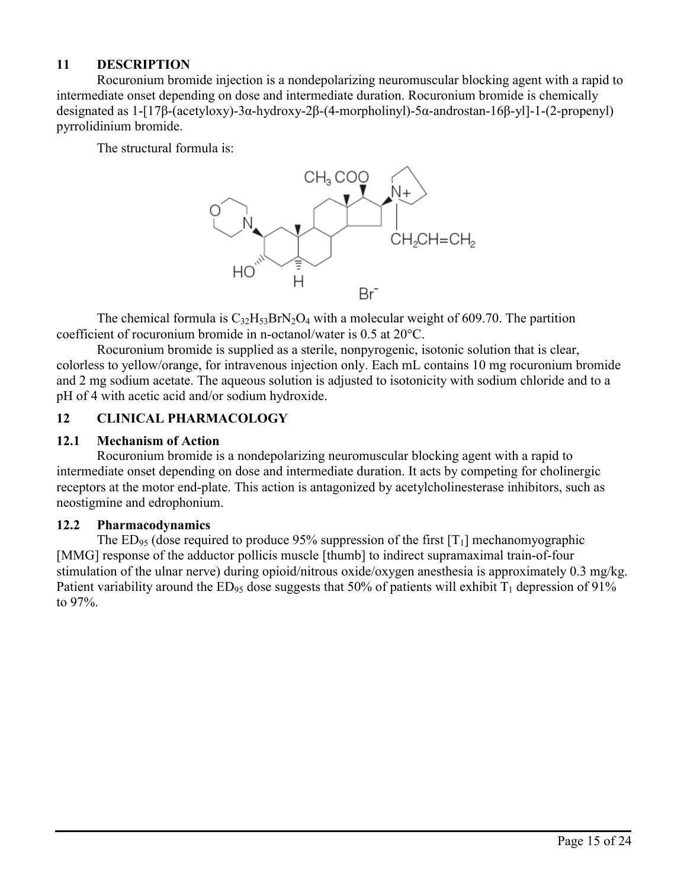## **11 DESCRIPTION**

Rocuronium bromide injection is a nondepolarizing neuromuscular blocking agent with a rapid to intermediate onset depending on dose and intermediate duration. Rocuronium bromide is chemically designated as 1-[17β-(acetyloxy)-3α-hydroxy-2β-(4-morpholinyl)-5α-androstan-16β-yl]-1-(2-propenyl) pyrrolidinium bromide.

The structural formula is:



The chemical formula is  $C_{32}H_{53}BrN_2O_4$  with a molecular weight of 609.70. The partition coefficient of rocuronium bromide in n-octanol/water is 0.5 at 20°C.

Rocuronium bromide is supplied as a sterile, nonpyrogenic, isotonic solution that is clear, colorless to yellow/orange, for intravenous injection only. Each mL contains 10 mg rocuronium bromide and 2 mg sodium acetate. The aqueous solution is adjusted to isotonicity with sodium chloride and to a pH of 4 with acetic acid and/or sodium hydroxide.

#### **12 CLINICAL PHARMACOLOGY**

#### **12.1 Mechanism of Action**

Rocuronium bromide is a nondepolarizing neuromuscular blocking agent with a rapid to intermediate onset depending on dose and intermediate duration. It acts by competing for cholinergic receptors at the motor end-plate. This action is antagonized by acetylcholinesterase inhibitors, such as neostigmine and edrophonium.

#### **12.2 Pharmacodynamics**

The ED<sub>95</sub> (dose required to produce 95% suppression of the first  $[T_1]$  mechanomyographic [MMG] response of the adductor pollicis muscle [thumb] to indirect supramaximal train-of-four stimulation of the ulnar nerve) during opioid/nitrous oxide/oxygen anesthesia is approximately 0.3 mg/kg. Patient variability around the  $ED_{95}$  dose suggests that 50% of patients will exhibit  $T_1$  depression of 91% to 97%.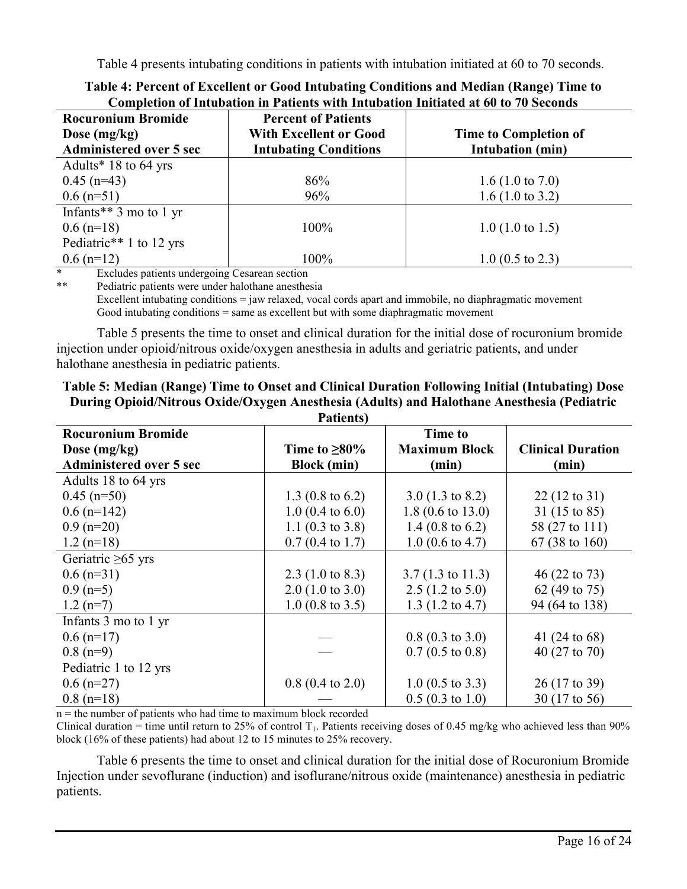Table 4 presents intubating conditions in patients with intubation initiated at 60 to 70 seconds.

| <b>Rocuronium Bromide</b><br>Dose $(mg/kg)$ | <b>Percent of Patients</b><br><b>With Excellent or Good</b> | <b>Time to Completion of</b> |
|---------------------------------------------|-------------------------------------------------------------|------------------------------|
| <b>Administered over 5 sec</b>              | <b>Intubating Conditions</b>                                | <b>Intubation</b> (min)      |
| Adults* $18$ to 64 yrs                      |                                                             |                              |
| $0.45$ (n=43)                               | 86%                                                         | $1.6(1.0 \text{ to } 7.0)$   |
| $0.6$ (n=51)                                | 96%                                                         | $1.6(1.0 \text{ to } 3.2)$   |
| Infants** $3 \text{ mo to } 1 \text{ yr}$   |                                                             |                              |
| $0.6$ (n=18)                                | 100%                                                        | $1.0$ (1.0 to 1.5)           |
| Pediatric <sup>**</sup> 1 to 12 yrs         |                                                             |                              |
| $0.6$ (n=12)                                | 100%                                                        | $1.0$ (0.5 to 2.3)           |

| Table 4: Percent of Excellent or Good Intubating Conditions and Median (Range) Time to |  |
|----------------------------------------------------------------------------------------|--|
| Completion of Intubation in Patients with Intubation Initiated at 60 to 70 Seconds     |  |

Excludes patients undergoing Cesarean section

\*\* Pediatric patients were under halothane anesthesia

Excellent intubating conditions = jaw relaxed, vocal cords apart and immobile, no diaphragmatic movement Good intubating conditions = same as excellent but with some diaphragmatic movement

Table 5 presents the time to onset and clinical duration for the initial dose of rocuronium bromide injection under opioid/nitrous oxide/oxygen anesthesia in adults and geriatric patients, and under halothane anesthesia in pediatric patients.

#### **Table 5: Median (Range) Time to Onset and Clinical Duration Following Initial (Intubating) Dose During Opioid/Nitrous Oxide/Oxygen Anesthesia (Adults) and Halothane Anesthesia (Pediatric Pationts**)

|                                | r atients                   |                             |                          |
|--------------------------------|-----------------------------|-----------------------------|--------------------------|
| <b>Rocuronium Bromide</b>      |                             | <b>Time to</b>              |                          |
| Dose $(mg/kg)$                 | Time to $\geq 80\%$         | <b>Maximum Block</b>        | <b>Clinical Duration</b> |
| <b>Administered over 5 sec</b> | <b>Block</b> (min)          | (min)                       | (min)                    |
| Adults 18 to 64 yrs            |                             |                             |                          |
| $0.45$ (n=50)                  | 1.3 $(0.8 \text{ to } 6.2)$ | $3.0(1.3 \text{ to } 8.2)$  | $22(12 \text{ to } 31)$  |
| $0.6$ (n=142)                  | $1.0$ (0.4 to 6.0)          | $1.8(0.6 \text{ to } 13.0)$ | 31 (15 to 85)            |
| $0.9$ (n=20)                   | 1.1 $(0.3 \text{ to } 3.8)$ | 1.4 $(0.8 \text{ to } 6.2)$ | 58 (27 to 111)           |
| $1.2$ (n=18)                   | $0.7(0.4 \text{ to } 1.7)$  | $1.0$ (0.6 to 4.7)          | 67 (38 to 160)           |
| Geriatric $\geq 65$ yrs        |                             |                             |                          |
| $0.6$ (n=31)                   | 2.3 $(1.0 \text{ to } 8.3)$ | $3.7(1.3 \text{ to } 11.3)$ | $46(22 \text{ to } 73)$  |
| $0.9$ (n=5)                    | $2.0$ (1.0 to 3.0)          | $2.5(1.2 \text{ to } 5.0)$  | 62 (49 to 75)            |
| $1.2(n=7)$                     | $1.0$ (0.8 to 3.5)          | $1.3$ (1.2 to 4.7)          | 94 (64 to 138)           |
| Infants 3 mo to 1 yr           |                             |                             |                          |
| $0.6$ (n=17)                   |                             | $0.8(0.3 \text{ to } 3.0)$  | 41 (24 to 68)            |
| $0.8$ (n=9)                    |                             | $0.7(0.5 \text{ to } 0.8)$  | 40 (27 to 70)            |
| Pediatric 1 to 12 yrs          |                             |                             |                          |
| $0.6$ (n=27)                   | $0.8$ (0.4 to 2.0)          | $1.0$ (0.5 to 3.3)          | 26 (17 to 39)            |
| $0.8$ (n=18)                   |                             | $0.5(0.3 \text{ to } 1.0)$  | 30 (17 to 56)            |

 $n =$  the number of patients who had time to maximum block recorded

Clinical duration = time until return to 25% of control  $T_1$ . Patients receiving doses of 0.45 mg/kg who achieved less than 90% block (16% of these patients) had about 12 to 15 minutes to 25% recovery.

Table 6 presents the time to onset and clinical duration for the initial dose of Rocuronium Bromide Injection under sevoflurane (induction) and isoflurane/nitrous oxide (maintenance) anesthesia in pediatric patients.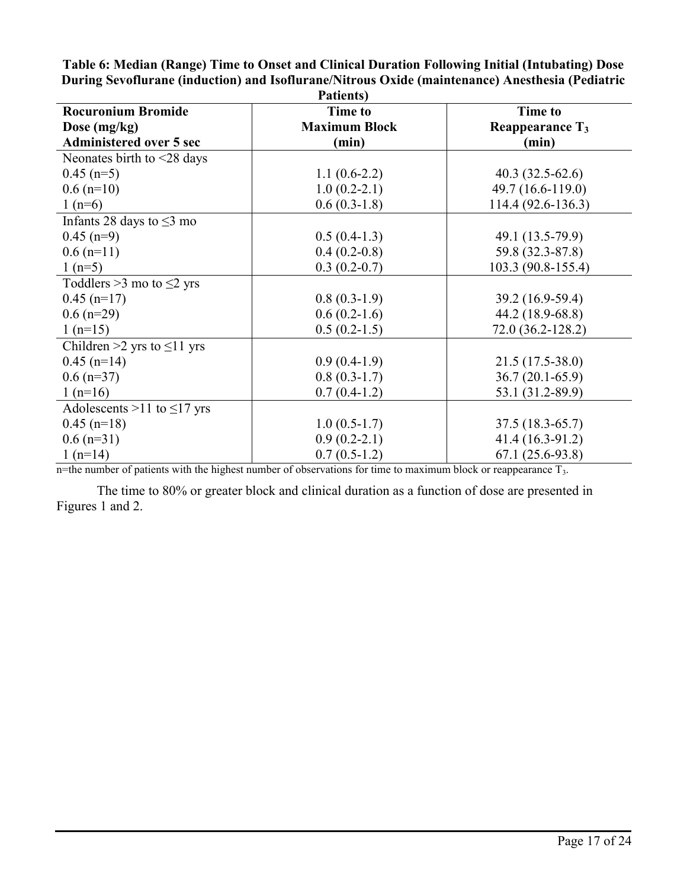| Patients)                              |                      |                             |  |  |  |
|----------------------------------------|----------------------|-----------------------------|--|--|--|
| <b>Rocuronium Bromide</b>              | <b>Time to</b>       | <b>Time to</b>              |  |  |  |
| Dose (mg/kg)                           | <b>Maximum Block</b> | Reappearance T <sub>3</sub> |  |  |  |
| <b>Administered over 5 sec</b>         | (min)                | (min)                       |  |  |  |
| Neonates birth to <28 days             |                      |                             |  |  |  |
| $0.45$ (n=5)                           | $1.1(0.6-2.2)$       | $40.3(32.5-62.6)$           |  |  |  |
| $0.6$ (n=10)                           | $1.0(0.2-2.1)$       | 49.7 (16.6-119.0)           |  |  |  |
| $1(n=6)$                               | $0.6(0.3-1.8)$       | 114.4 (92.6-136.3)          |  |  |  |
| Infants 28 days to $\leq$ 3 mo         |                      |                             |  |  |  |
| $0.45$ (n=9)                           | $0.5(0.4-1.3)$       | 49.1 (13.5-79.9)            |  |  |  |
| $0.6$ (n=11)                           | $0.4(0.2-0.8)$       | 59.8 (32.3-87.8)            |  |  |  |
| 1 $(n=5)$                              | $0.3(0.2-0.7)$       | 103.3 (90.8-155.4)          |  |  |  |
| Toddlers $>3$ mo to $\leq$ 2 yrs       |                      |                             |  |  |  |
| $0.45$ (n=17)                          | $0.8(0.3-1.9)$       | 39.2 (16.9-59.4)            |  |  |  |
| $0.6$ (n=29)                           | $0.6(0.2-1.6)$       | 44.2 (18.9-68.8)            |  |  |  |
| $1(n=15)$                              | $0.5(0.2-1.5)$       | $72.0(36.2 - 128.2)$        |  |  |  |
| Children $\geq 2$ yrs to $\leq 11$ yrs |                      |                             |  |  |  |
| $0.45$ (n=14)                          | $0.9(0.4-1.9)$       | $21.5(17.5-38.0)$           |  |  |  |
| $0.6$ (n=37)                           | $0.8(0.3-1.7)$       | $36.7(20.1-65.9)$           |  |  |  |
| $1(n=16)$                              | $0.7(0.4-1.2)$       | 53.1 (31.2-89.9)            |  |  |  |
| Adolescents >11 to $\leq$ 17 yrs       |                      |                             |  |  |  |
| $0.45$ (n=18)                          | $1.0(0.5-1.7)$       | $37.5(18.3-65.7)$           |  |  |  |
| $0.6$ (n=31)                           | $0.9(0.2-2.1)$       | 41.4 (16.3-91.2)            |  |  |  |
| $1(n=14)$                              | $0.7(0.5-1.2)$       | $67.1(25.6-93.8)$           |  |  |  |

**Table 6: Median (Range) Time to Onset and Clinical Duration Following Initial (Intubating) Dose During Sevoflurane (induction) and Isoflurane/Nitrous Oxide (maintenance) Anesthesia (Pediatric** 

n=the number of patients with the highest number of observations for time to maximum block or reappearance  $T_3$ .

The time to 80% or greater block and clinical duration as a function of dose are presented in Figures 1 and 2.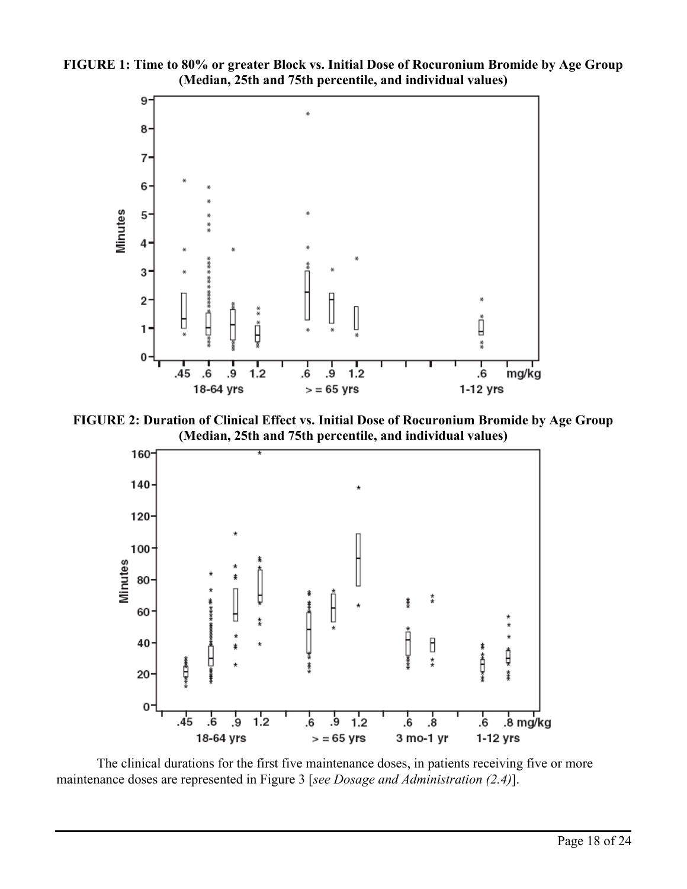



**FIGURE 2: Duration of Clinical Effect vs. Initial Dose of Rocuronium Bromide by Age Group (Median, 25th and 75th percentile, and individual values)**



The clinical durations for the first five maintenance doses, in patients receiving five or more maintenance doses are represented in Figure 3 [*see Dosage and Administration (2.4)*].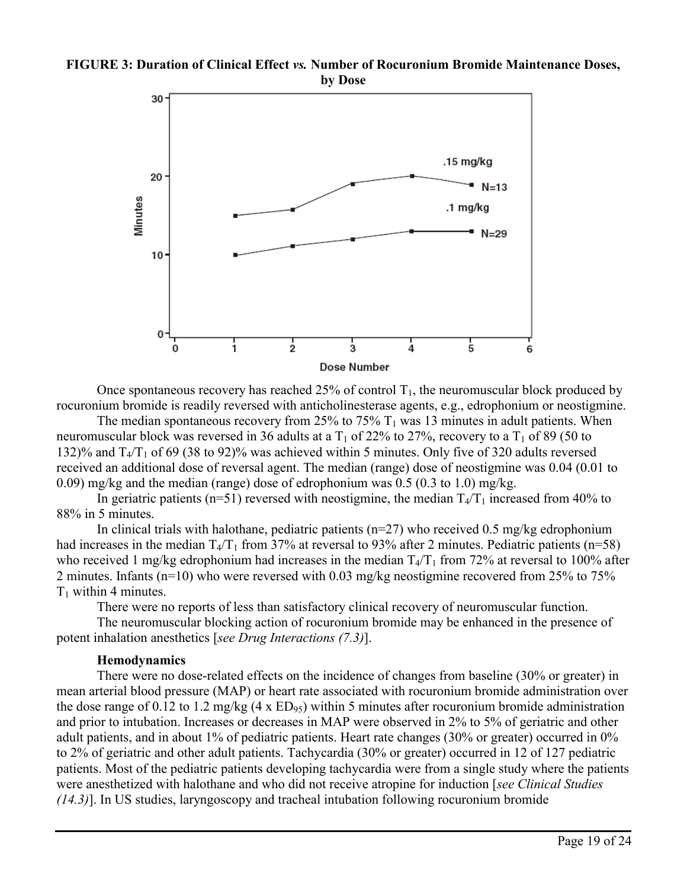#### **FIGURE 3: Duration of Clinical Effect** *vs.* **Number of Rocuronium Bromide Maintenance Doses, by Dose**



Once spontaneous recovery has reached  $25\%$  of control  $T_1$ , the neuromuscular block produced by rocuronium bromide is readily reversed with anticholinesterase agents, e.g., edrophonium or neostigmine.

The median spontaneous recovery from 25% to 75%  $T_1$  was 13 minutes in adult patients. When neuromuscular block was reversed in 36 adults at a  $T_1$  of 22% to 27%, recovery to a  $T_1$  of 89 (50 to 132)% and  $T_4/T_1$  of 69 (38 to 92)% was achieved within 5 minutes. Only five of 320 adults reversed received an additional dose of reversal agent. The median (range) dose of neostigmine was 0.04 (0.01 to 0.09) mg/kg and the median (range) dose of edrophonium was  $0.5$  ( $0.3$  to  $1.0$ ) mg/kg.

In geriatric patients (n=51) reversed with neostigmine, the median  $T_4/T_1$  increased from 40% to 88% in 5 minutes.

In clinical trials with halothane, pediatric patients ( $n=27$ ) who received 0.5 mg/kg edrophonium had increases in the median  $T_4/T_1$  from 37% at reversal to 93% after 2 minutes. Pediatric patients (n=58) who received 1 mg/kg edrophonium had increases in the median  $T_4/T_1$  from 72% at reversal to 100% after 2 minutes. Infants (n=10) who were reversed with 0.03 mg/kg neostigmine recovered from 25% to 75%  $T_1$  within 4 minutes.

There were no reports of less than satisfactory clinical recovery of neuromuscular function.

The neuromuscular blocking action of rocuronium bromide may be enhanced in the presence of potent inhalation anesthetics [*see Drug Interactions (7.3)*].

#### **Hemodynamics**

There were no dose-related effects on the incidence of changes from baseline (30% or greater) in mean arterial blood pressure (MAP) or heart rate associated with rocuronium bromide administration over the dose range of 0.12 to 1.2 mg/kg (4 x  $ED_{95}$ ) within 5 minutes after rocuronium bromide administration and prior to intubation. Increases or decreases in MAP were observed in 2% to 5% of geriatric and other adult patients, and in about 1% of pediatric patients. Heart rate changes (30% or greater) occurred in 0% to 2% of geriatric and other adult patients. Tachycardia (30% or greater) occurred in 12 of 127 pediatric patients. Most of the pediatric patients developing tachycardia were from a single study where the patients were anesthetized with halothane and who did not receive atropine for induction [*see Clinical Studies (14.3)*]. In US studies, laryngoscopy and tracheal intubation following rocuronium bromide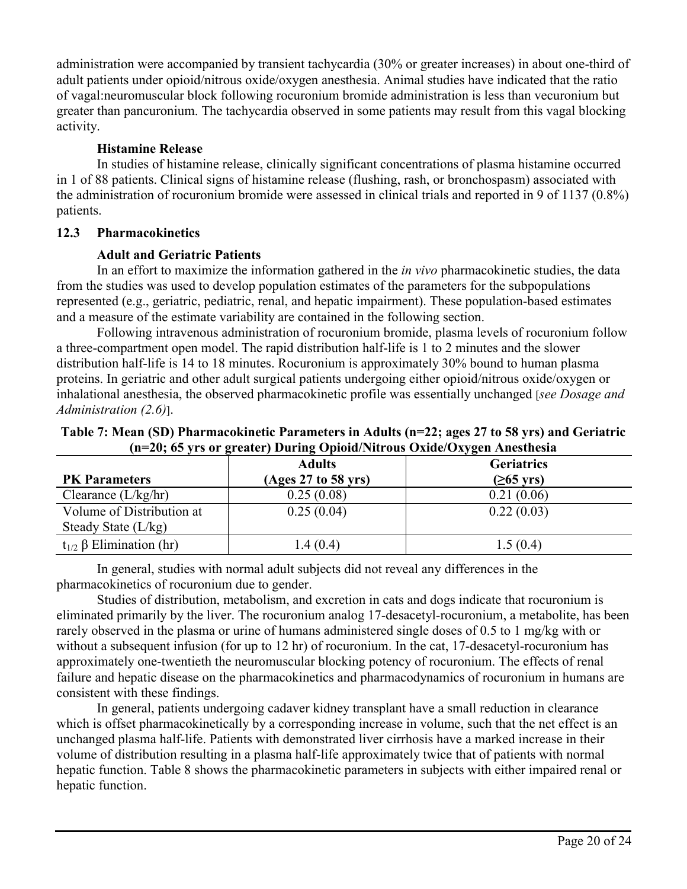administration were accompanied by transient tachycardia (30% or greater increases) in about one-third of adult patients under opioid/nitrous oxide/oxygen anesthesia. Animal studies have indicated that the ratio of vagal:neuromuscular block following rocuronium bromide administration is less than vecuronium but greater than pancuronium. The tachycardia observed in some patients may result from this vagal blocking activity.

## **Histamine Release**

In studies of histamine release, clinically significant concentrations of plasma histamine occurred in 1 of 88 patients. Clinical signs of histamine release (flushing, rash, or bronchospasm) associated with the administration of rocuronium bromide were assessed in clinical trials and reported in 9 of 1137 (0.8%) patients.

## **12.3 Pharmacokinetics**

## **Adult and Geriatric Patients**

In an effort to maximize the information gathered in the *in vivo* pharmacokinetic studies, the data from the studies was used to develop population estimates of the parameters for the subpopulations represented (e.g., geriatric, pediatric, renal, and hepatic impairment). These population-based estimates and a measure of the estimate variability are contained in the following section.

Following intravenous administration of rocuronium bromide, plasma levels of rocuronium follow a three-compartment open model. The rapid distribution half-life is 1 to 2 minutes and the slower distribution half-life is 14 to 18 minutes. Rocuronium is approximately 30% bound to human plasma proteins. In geriatric and other adult surgical patients undergoing either opioid/nitrous oxide/oxygen or inhalational anesthesia, the observed pharmacokinetic profile was essentially unchanged [*see Dosage and Administration (2.6)*].

|                                    | $\mu$ –20, 09 yrs or greater) During Opiolu/Initrous Oxiuc/Oxygen Allestiicsia |                     |
|------------------------------------|--------------------------------------------------------------------------------|---------------------|
|                                    | <b>Adults</b>                                                                  | <b>Geriatrics</b>   |
| <b>PK</b> Parameters               | (Ages 27 to 58 yrs)                                                            | $(265 \text{ yrs})$ |
| Clearance $(L/kg/hr)$              | 0.25(0.08)                                                                     | 0.21(0.06)          |
| Volume of Distribution at          | 0.25(0.04)                                                                     | 0.22(0.03)          |
| Steady State $(L/kg)$              |                                                                                |                     |
| $t_{1/2}$ $\beta$ Elimination (hr) | 1.4(0.4)                                                                       | 1.5(0.4)            |

**Table 7: Mean (SD) Pharmacokinetic Parameters in Adults (n=22; ages 27 to 58 yrs) and Geriatric (n=20; 65 yrs or greater) During Opioid/Nitrous Oxide/Oxygen Anesthesia**

In general, studies with normal adult subjects did not reveal any differences in the pharmacokinetics of rocuronium due to gender.

Studies of distribution, metabolism, and excretion in cats and dogs indicate that rocuronium is eliminated primarily by the liver. The rocuronium analog 17-desacetyl-rocuronium, a metabolite, has been rarely observed in the plasma or urine of humans administered single doses of 0.5 to 1 mg/kg with or without a subsequent infusion (for up to 12 hr) of rocuronium. In the cat, 17-desacetyl-rocuronium has approximately one-twentieth the neuromuscular blocking potency of rocuronium. The effects of renal failure and hepatic disease on the pharmacokinetics and pharmacodynamics of rocuronium in humans are consistent with these findings.

In general, patients undergoing cadaver kidney transplant have a small reduction in clearance which is offset pharmacokinetically by a corresponding increase in volume, such that the net effect is an unchanged plasma half-life. Patients with demonstrated liver cirrhosis have a marked increase in their volume of distribution resulting in a plasma half-life approximately twice that of patients with normal hepatic function. Table 8 shows the pharmacokinetic parameters in subjects with either impaired renal or hepatic function.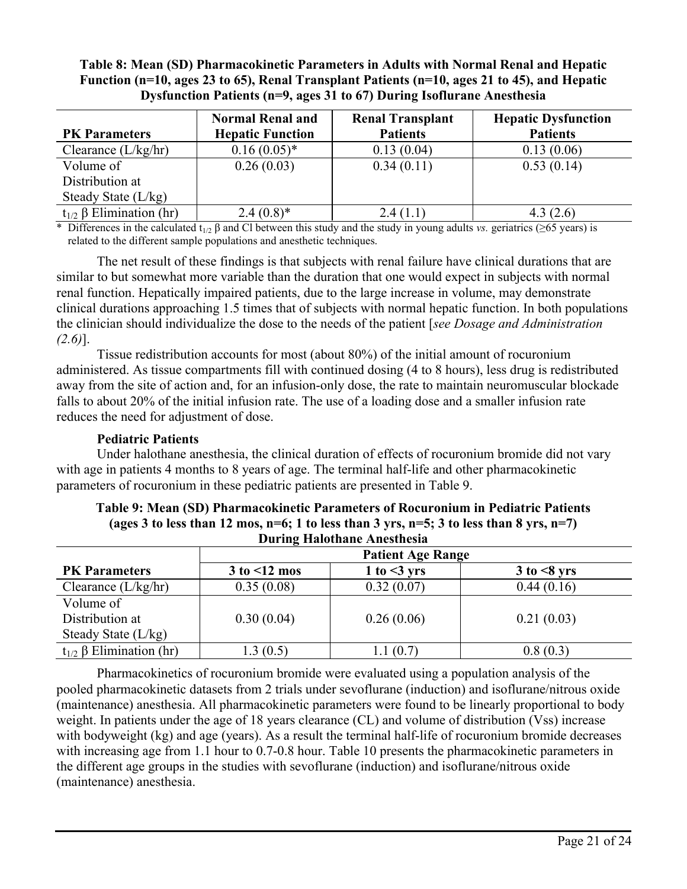## **Table 8: Mean (SD) Pharmacokinetic Parameters in Adults with Normal Renal and Hepatic Function (n=10, ages 23 to 65), Renal Transplant Patients (n=10, ages 21 to 45), and Hepatic Dysfunction Patients (n=9, ages 31 to 67) During Isoflurane Anesthesia**

|                                    | <b>Normal Renal and</b> | <b>Renal Transplant</b> | <b>Hepatic Dysfunction</b> |
|------------------------------------|-------------------------|-------------------------|----------------------------|
| <b>PK</b> Parameters               | <b>Hepatic Function</b> | <b>Patients</b>         | <b>Patients</b>            |
| Clearance $(L/kg/hr)$              | $0.16(0.05)^*$          | 0.13(0.04)              | 0.13(0.06)                 |
| Volume of                          | 0.26(0.03)              | 0.34(0.11)              | 0.53(0.14)                 |
| Distribution at                    |                         |                         |                            |
| Steady State $(L/kg)$              |                         |                         |                            |
| $t_{1/2}$ $\beta$ Elimination (hr) | $2.4(0.8)*$             | 2.4(1.1)                | 4.3(2.6)                   |

Differences in the calculated t<sub>1/2</sub> β and Cl between this study and the study in young adults *vs.* geriatrics ( $\geq$ 65 years) is related to the different sample populations and anesthetic techniques.

The net result of these findings is that subjects with renal failure have clinical durations that are similar to but somewhat more variable than the duration that one would expect in subjects with normal renal function. Hepatically impaired patients, due to the large increase in volume, may demonstrate clinical durations approaching 1.5 times that of subjects with normal hepatic function. In both populations the clinician should individualize the dose to the needs of the patient [*see Dosage and Administration (2.6)*].

Tissue redistribution accounts for most (about 80%) of the initial amount of rocuronium administered. As tissue compartments fill with continued dosing (4 to 8 hours), less drug is redistributed away from the site of action and, for an infusion-only dose, the rate to maintain neuromuscular blockade falls to about 20% of the initial infusion rate. The use of a loading dose and a smaller infusion rate reduces the need for adjustment of dose.

#### **Pediatric Patients**

Under halothane anesthesia, the clinical duration of effects of rocuronium bromide did not vary with age in patients 4 months to 8 years of age. The terminal half-life and other pharmacokinetic parameters of rocuronium in these pediatric patients are presented in Table 9.

|                                    | <b>Patient Age Range</b> |                 |                     |  |  |  |  |
|------------------------------------|--------------------------|-----------------|---------------------|--|--|--|--|
| <b>PK</b> Parameters               | $3$ to $\leq 12$ mos     | 1 to $\leq$ yrs | $3$ to $\leq 8$ yrs |  |  |  |  |
| Clearance $(L/kg/hr)$              | 0.35(0.08)               | 0.32(0.07)      | 0.44(0.16)          |  |  |  |  |
| Volume of                          |                          |                 |                     |  |  |  |  |
| Distribution at                    | 0.30(0.04)               | 0.26(0.06)      | 0.21(0.03)          |  |  |  |  |
| Steady State $(L/kg)$              |                          |                 |                     |  |  |  |  |
| $t_{1/2}$ $\beta$ Elimination (hr) | .3(0.5)                  | 1.1(0.7)        | 0.8(0.3)            |  |  |  |  |

#### **Table 9: Mean (SD) Pharmacokinetic Parameters of Rocuronium in Pediatric Patients (ages 3 to less than 12 mos, n=6; 1 to less than 3 yrs, n=5; 3 to less than 8 yrs, n=7) During Halothane Anesthesia**

Pharmacokinetics of rocuronium bromide were evaluated using a population analysis of the pooled pharmacokinetic datasets from 2 trials under sevoflurane (induction) and isoflurane/nitrous oxide (maintenance) anesthesia. All pharmacokinetic parameters were found to be linearly proportional to body weight. In patients under the age of 18 years clearance (CL) and volume of distribution (Vss) increase with bodyweight (kg) and age (years). As a result the terminal half-life of rocuronium bromide decreases with increasing age from 1.1 hour to 0.7-0.8 hour. Table 10 presents the pharmacokinetic parameters in the different age groups in the studies with sevoflurane (induction) and isoflurane/nitrous oxide (maintenance) anesthesia.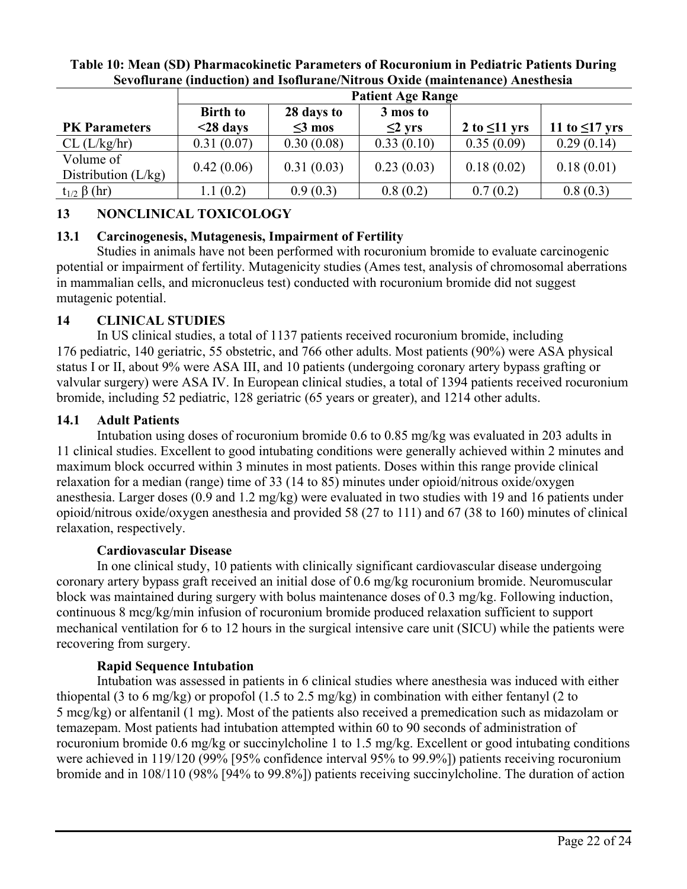|                       | <b>Patient Age Range</b> |              |              |                    |                     |  |  |
|-----------------------|--------------------------|--------------|--------------|--------------------|---------------------|--|--|
|                       | <b>Birth to</b>          | 28 days to   | 3 mos to     |                    |                     |  |  |
| <b>PK</b> Parameters  | $<$ 28 days              | $\leq$ 3 mos | $\leq$ 2 yrs | 2 to $\leq 11$ yrs | 11 to $\leq$ 17 yrs |  |  |
| CL (L/kg/hr)          | 0.31(0.07)               | 0.30(0.08)   | 0.33(0.10)   | 0.35(0.09)         | 0.29(0.14)          |  |  |
| Volume of             | 0.42(0.06)               | 0.31(0.03)   | 0.23(0.03)   | 0.18(0.02)         | 0.18(0.01)          |  |  |
| Distribution $(L/kg)$ |                          |              |              |                    |                     |  |  |
| $t_{1/2} \beta$ (hr)  | 1.1(0.2)                 | 0.9(0.3)     | 0.8(0.2)     | 0.7(0.2)           | 0.8(0.3)            |  |  |

#### **Table 10: Mean (SD) Pharmacokinetic Parameters of Rocuronium in Pediatric Patients During Sevoflurane (induction) and Isoflurane/Nitrous Oxide (maintenance) Anesthesia**

# **13 NONCLINICAL TOXICOLOGY**

# **13.1 Carcinogenesis, Mutagenesis, Impairment of Fertility**

Studies in animals have not been performed with rocuronium bromide to evaluate carcinogenic potential or impairment of fertility. Mutagenicity studies (Ames test, analysis of chromosomal aberrations in mammalian cells, and micronucleus test) conducted with rocuronium bromide did not suggest mutagenic potential.

# **14 CLINICAL STUDIES**

In US clinical studies, a total of 1137 patients received rocuronium bromide, including 176 pediatric, 140 geriatric, 55 obstetric, and 766 other adults. Most patients (90%) were ASA physical status I or II, about 9% were ASA III, and 10 patients (undergoing coronary artery bypass grafting or valvular surgery) were ASA IV. In European clinical studies, a total of 1394 patients received rocuronium bromide, including 52 pediatric, 128 geriatric (65 years or greater), and 1214 other adults.

## **14.1 Adult Patients**

Intubation using doses of rocuronium bromide 0.6 to 0.85 mg/kg was evaluated in 203 adults in 11 clinical studies. Excellent to good intubating conditions were generally achieved within 2 minutes and maximum block occurred within 3 minutes in most patients. Doses within this range provide clinical relaxation for a median (range) time of 33 (14 to 85) minutes under opioid/nitrous oxide/oxygen anesthesia. Larger doses (0.9 and 1.2 mg/kg) were evaluated in two studies with 19 and 16 patients under opioid/nitrous oxide/oxygen anesthesia and provided 58 (27 to 111) and 67 (38 to 160) minutes of clinical relaxation, respectively.

## **Cardiovascular Disease**

In one clinical study, 10 patients with clinically significant cardiovascular disease undergoing coronary artery bypass graft received an initial dose of 0.6 mg/kg rocuronium bromide. Neuromuscular block was maintained during surgery with bolus maintenance doses of 0.3 mg/kg. Following induction, continuous 8 mcg/kg/min infusion of rocuronium bromide produced relaxation sufficient to support mechanical ventilation for 6 to 12 hours in the surgical intensive care unit (SICU) while the patients were recovering from surgery.

# **Rapid Sequence Intubation**

Intubation was assessed in patients in 6 clinical studies where anesthesia was induced with either thiopental (3 to 6 mg/kg) or propofol (1.5 to 2.5 mg/kg) in combination with either fentanyl (2 to 5 mcg/kg) or alfentanil (1 mg). Most of the patients also received a premedication such as midazolam or temazepam. Most patients had intubation attempted within 60 to 90 seconds of administration of rocuronium bromide 0.6 mg/kg or succinylcholine 1 to 1.5 mg/kg. Excellent or good intubating conditions were achieved in 119/120 (99% [95% confidence interval 95% to 99.9%]) patients receiving rocuronium bromide and in 108/110 (98% [94% to 99.8%]) patients receiving succinylcholine. The duration of action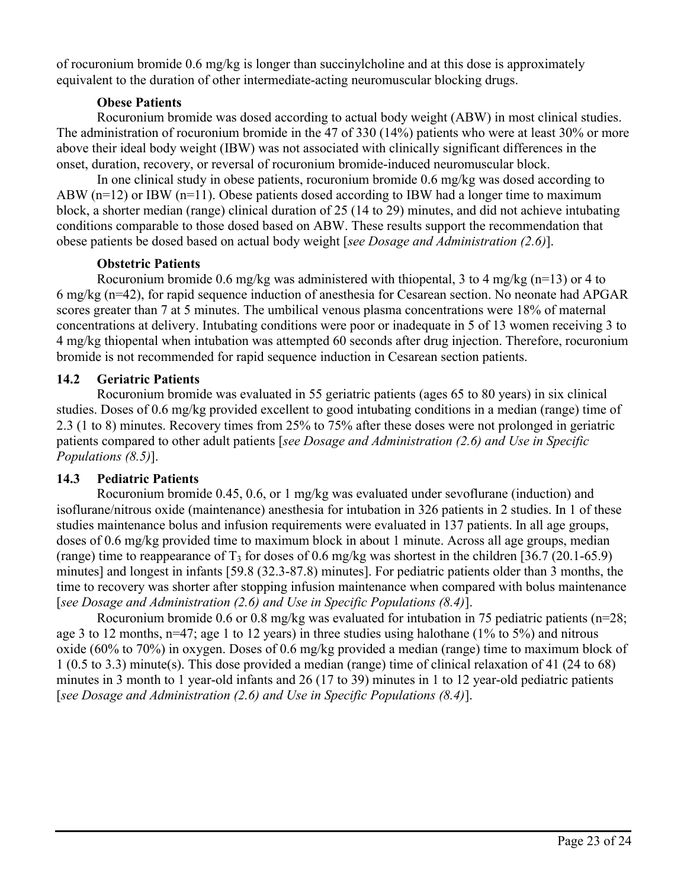of rocuronium bromide 0.6 mg/kg is longer than succinylcholine and at this dose is approximately equivalent to the duration of other intermediate-acting neuromuscular blocking drugs.

## **Obese Patients**

Rocuronium bromide was dosed according to actual body weight (ABW) in most clinical studies. The administration of rocuronium bromide in the 47 of 330 (14%) patients who were at least 30% or more above their ideal body weight (IBW) was not associated with clinically significant differences in the onset, duration, recovery, or reversal of rocuronium bromide-induced neuromuscular block.

In one clinical study in obese patients, rocuronium bromide 0.6 mg/kg was dosed according to ABW ( $n=12$ ) or IBW ( $n=11$ ). Obese patients dosed according to IBW had a longer time to maximum block, a shorter median (range) clinical duration of 25 (14 to 29) minutes, and did not achieve intubating conditions comparable to those dosed based on ABW. These results support the recommendation that obese patients be dosed based on actual body weight [*see Dosage and Administration (2.6)*].

## **Obstetric Patients**

Rocuronium bromide 0.6 mg/kg was administered with thiopental, 3 to 4 mg/kg (n=13) or 4 to 6 mg/kg (n=42), for rapid sequence induction of anesthesia for Cesarean section. No neonate had APGAR scores greater than 7 at 5 minutes. The umbilical venous plasma concentrations were 18% of maternal concentrations at delivery. Intubating conditions were poor or inadequate in 5 of 13 women receiving 3 to 4 mg/kg thiopental when intubation was attempted 60 seconds after drug injection. Therefore, rocuronium bromide is not recommended for rapid sequence induction in Cesarean section patients.

# **14.2 Geriatric Patients**

Rocuronium bromide was evaluated in 55 geriatric patients (ages 65 to 80 years) in six clinical studies. Doses of 0.6 mg/kg provided excellent to good intubating conditions in a median (range) time of 2.3 (1 to 8) minutes. Recovery times from 25% to 75% after these doses were not prolonged in geriatric patients compared to other adult patients [*see Dosage and Administration (2.6) and Use in Specific Populations (8.5)*].

# **14.3 Pediatric Patients**

Rocuronium bromide 0.45, 0.6, or 1 mg/kg was evaluated under sevoflurane (induction) and isoflurane/nitrous oxide (maintenance) anesthesia for intubation in 326 patients in 2 studies. In 1 of these studies maintenance bolus and infusion requirements were evaluated in 137 patients. In all age groups, doses of 0.6 mg/kg provided time to maximum block in about 1 minute. Across all age groups, median (range) time to reappearance of  $T_3$  for doses of 0.6 mg/kg was shortest in the children [36.7 (20.1-65.9) minutes] and longest in infants [59.8 (32.3-87.8) minutes]. For pediatric patients older than 3 months, the time to recovery was shorter after stopping infusion maintenance when compared with bolus maintenance [*see Dosage and Administration (2.6) and Use in Specific Populations (8.4)*].

Rocuronium bromide 0.6 or 0.8 mg/kg was evaluated for intubation in 75 pediatric patients (n=28; age 3 to 12 months, n=47; age 1 to 12 years) in three studies using halothane (1% to 5%) and nitrous oxide (60% to 70%) in oxygen. Doses of 0.6 mg/kg provided a median (range) time to maximum block of 1 (0.5 to 3.3) minute(s). This dose provided a median (range) time of clinical relaxation of 41 (24 to 68) minutes in 3 month to 1 year-old infants and 26 (17 to 39) minutes in 1 to 12 year-old pediatric patients [*see Dosage and Administration (2.6) and Use in Specific Populations (8.4)*].